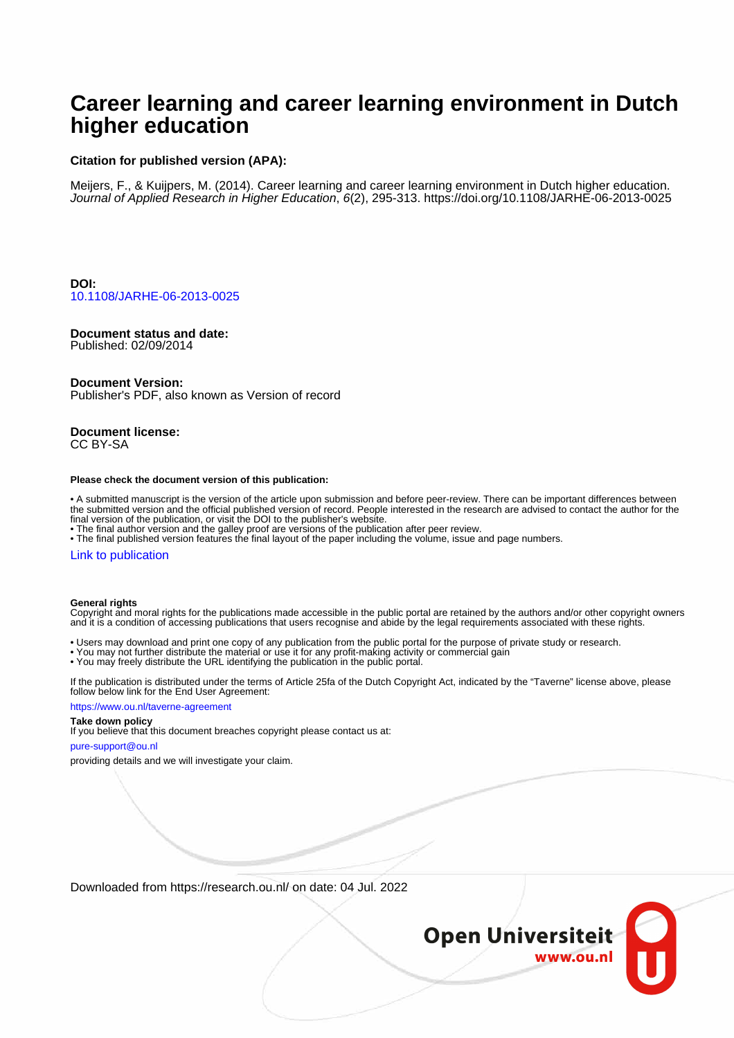# **Career learning and career learning environment in Dutch higher education**

## **Citation for published version (APA):**

Meijers, F., & Kuijpers, M. (2014). Career learning and career learning environment in Dutch higher education. Journal of Applied Research in Higher Education, 6(2), 295-313. <https://doi.org/10.1108/JARHE-06-2013-0025>

**DOI:** [10.1108/JARHE-06-2013-0025](https://doi.org/10.1108/JARHE-06-2013-0025)

## **Document status and date:**

Published: 02/09/2014

## **Document Version:**

Publisher's PDF, also known as Version of record

#### **Document license:** CC BY-SA

#### **Please check the document version of this publication:**

• A submitted manuscript is the version of the article upon submission and before peer-review. There can be important differences between the submitted version and the official published version of record. People interested in the research are advised to contact the author for the final version of the publication, or visit the DOI to the publisher's website.

• The final author version and the galley proof are versions of the publication after peer review.

• The final published version features the final layout of the paper including the volume, issue and page numbers.

## [Link to publication](https://research.ou.nl/en/publications/588c2625-e2a5-47de-b2c0-b0b321e3f22c)

#### **General rights**

Copyright and moral rights for the publications made accessible in the public portal are retained by the authors and/or other copyright owners and it is a condition of accessing publications that users recognise and abide by the legal requirements associated with these rights.

- Users may download and print one copy of any publication from the public portal for the purpose of private study or research.
- You may not further distribute the material or use it for any profit-making activity or commercial gain
- You may freely distribute the URL identifying the publication in the public portal.

If the publication is distributed under the terms of Article 25fa of the Dutch Copyright Act, indicated by the "Taverne" license above, please follow below link for the End User Agreement:

#### https://www.ou.nl/taverne-agreement

## **Take down policy**

If you believe that this document breaches copyright please contact us at:

#### pure-support@ou.nl

providing details and we will investigate your claim.

Downloaded from https://research.ou.nl/ on date: 04 Jul. 2022

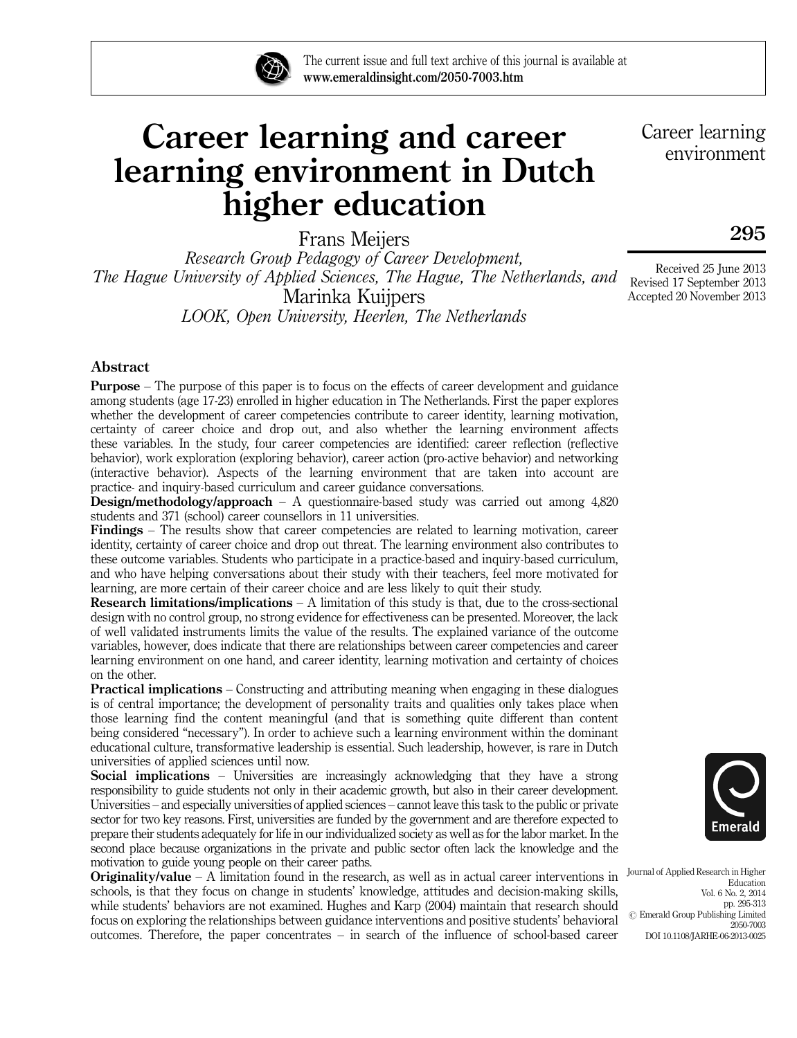

# Career learning and career learning environment in Dutch higher education

Frans Meijers

Research Group Pedagogy of Career Development, The Hague University of Applied Sciences, The Hague, The Netherlands, and Marinka Kuijpers LOOK, Open University, Heerlen, The Netherlands

Career learning environment

# 295

Received 25 June 2013 Revised 17 September 2013 Accepted 20 November 2013

## Abstract

Purpose – The purpose of this paper is to focus on the effects of career development and guidance among students (age 17-23) enrolled in higher education in The Netherlands. First the paper explores whether the development of career competencies contribute to career identity, learning motivation, certainty of career choice and drop out, and also whether the learning environment affects these variables. In the study, four career competencies are identified: career reflection (reflective behavior), work exploration (exploring behavior), career action (pro-active behavior) and networking (interactive behavior). Aspects of the learning environment that are taken into account are practice- and inquiry-based curriculum and career guidance conversations.

Design/methodology/approach – A questionnaire-based study was carried out among 4,820 students and 371 (school) career counsellors in 11 universities.

Findings – The results show that career competencies are related to learning motivation, career identity, certainty of career choice and drop out threat. The learning environment also contributes to these outcome variables. Students who participate in a practice-based and inquiry-based curriculum, and who have helping conversations about their study with their teachers, feel more motivated for learning, are more certain of their career choice and are less likely to quit their study.

**Research limitations/implications**  $- A$  limitation of this study is that, due to the cross-sectional design with no control group, no strong evidence for effectiveness can be presented. Moreover, the lack of well validated instruments limits the value of the results. The explained variance of the outcome variables, however, does indicate that there are relationships between career competencies and career learning environment on one hand, and career identity, learning motivation and certainty of choices on the other.

Practical implications – Constructing and attributing meaning when engaging in these dialogues is of central importance; the development of personality traits and qualities only takes place when those learning find the content meaningful (and that is something quite different than content being considered "necessary"). In order to achieve such a learning environment within the dominant educational culture, transformative leadership is essential. Such leadership, however, is rare in Dutch universities of applied sciences until now.

Social implications – Universities are increasingly acknowledging that they have a strong responsibility to guide students not only in their academic growth, but also in their career development. Universities – and especially universities of applied sciences – cannot leave this task to the public or private sector for two key reasons. First, universities are funded by the government and are therefore expected to prepare their students adequately for life in our individualized society as well as for the labor market. In the second place because organizations in the private and public sector often lack the knowledge and the motivation to guide young people on their career paths.

**Originality/value** – A limitation found in the research, as well as in actual career interventions in Journal of Applied Research Education schools, is that they focus on change in students' knowledge, attitudes and decision-making skills, while students' behaviors are not examined. Hughes and Karp (2004) maintain that research should focus on exploring the relationships between guidance interventions and positive students' behavioral outcomes. Therefore, the paper concentrates – in search of the influence of school-based career



Education Vol. 6 No. 2, 2014 pp. 295-313  $\odot$  Emerald Group Publishing Limited 2050-7003 DOI 10.1108/JARHE-06-2013-0025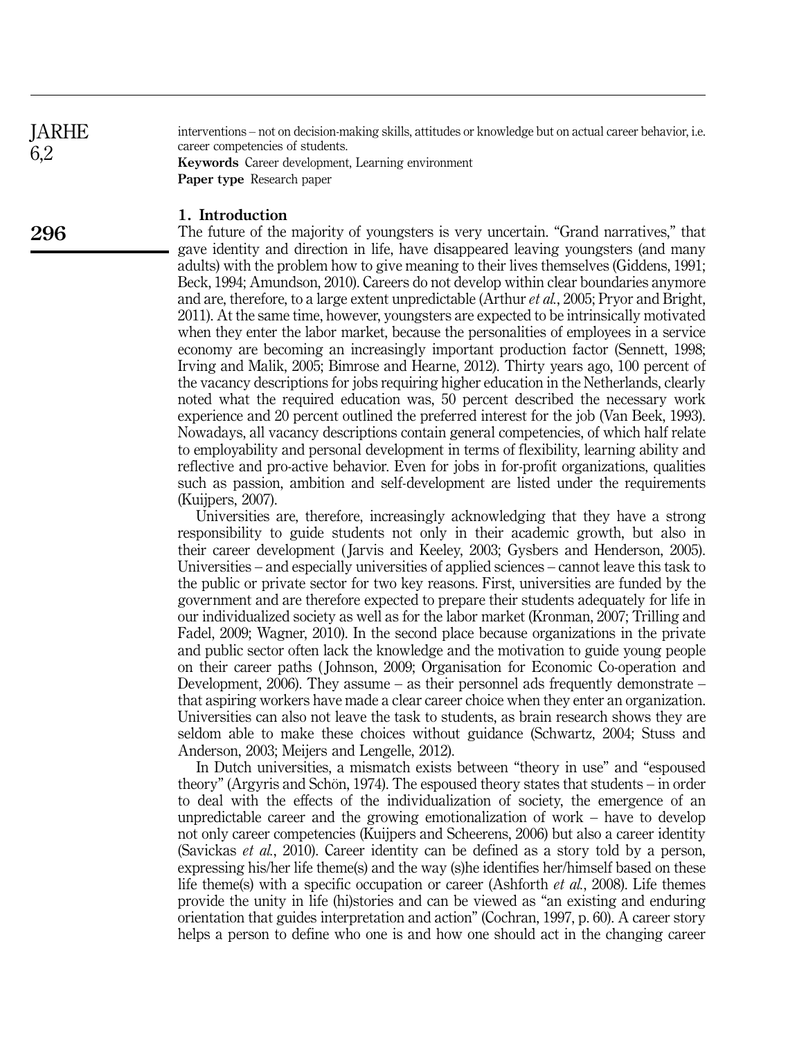interventions – not on decision-making skills, attitudes or knowledge but on actual career behavior, i.e. career competencies of students. Keywords Career development, Learning environment Paper type Research paper JARHE 6,2

## 1. Introduction

296

The future of the majority of youngsters is very uncertain. "Grand narratives," that gave identity and direction in life, have disappeared leaving youngsters (and many adults) with the problem how to give meaning to their lives themselves (Giddens, 1991; Beck, 1994; Amundson, 2010). Careers do not develop within clear boundaries anymore and are, therefore, to a large extent unpredictable (Arthur et al., 2005; Pryor and Bright, 2011). At the same time, however, youngsters are expected to be intrinsically motivated when they enter the labor market, because the personalities of employees in a service economy are becoming an increasingly important production factor (Sennett, 1998; Irving and Malik, 2005; Bimrose and Hearne, 2012). Thirty years ago, 100 percent of the vacancy descriptions for jobs requiring higher education in the Netherlands, clearly noted what the required education was, 50 percent described the necessary work experience and 20 percent outlined the preferred interest for the job (Van Beek, 1993). Nowadays, all vacancy descriptions contain general competencies, of which half relate to employability and personal development in terms of flexibility, learning ability and reflective and pro-active behavior. Even for jobs in for-profit organizations, qualities such as passion, ambition and self-development are listed under the requirements (Kuijpers, 2007).

Universities are, therefore, increasingly acknowledging that they have a strong responsibility to guide students not only in their academic growth, but also in their career development ( Jarvis and Keeley, 2003; Gysbers and Henderson, 2005). Universities – and especially universities of applied sciences – cannot leave this task to the public or private sector for two key reasons. First, universities are funded by the government and are therefore expected to prepare their students adequately for life in our individualized society as well as for the labor market (Kronman, 2007; Trilling and Fadel, 2009; Wagner, 2010). In the second place because organizations in the private and public sector often lack the knowledge and the motivation to guide young people on their career paths ( Johnson, 2009; Organisation for Economic Co-operation and Development, 2006). They assume – as their personnel ads frequently demonstrate – that aspiring workers have made a clear career choice when they enter an organization. Universities can also not leave the task to students, as brain research shows they are seldom able to make these choices without guidance (Schwartz, 2004; Stuss and Anderson, 2003; Meijers and Lengelle, 2012).

In Dutch universities, a mismatch exists between "theory in use" and "espoused theory" (Argyris and Schön, 1974). The espoused theory states that students – in order to deal with the effects of the individualization of society, the emergence of an unpredictable career and the growing emotionalization of work – have to develop not only career competencies (Kuijpers and Scheerens, 2006) but also a career identity (Savickas et al., 2010). Career identity can be defined as a story told by a person, expressing his/her life theme(s) and the way (s)he identifies her/himself based on these life theme(s) with a specific occupation or career (Ashforth et al., 2008). Life themes provide the unity in life (hi)stories and can be viewed as "an existing and enduring orientation that guides interpretation and action" (Cochran, 1997, p. 60). A career story helps a person to define who one is and how one should act in the changing career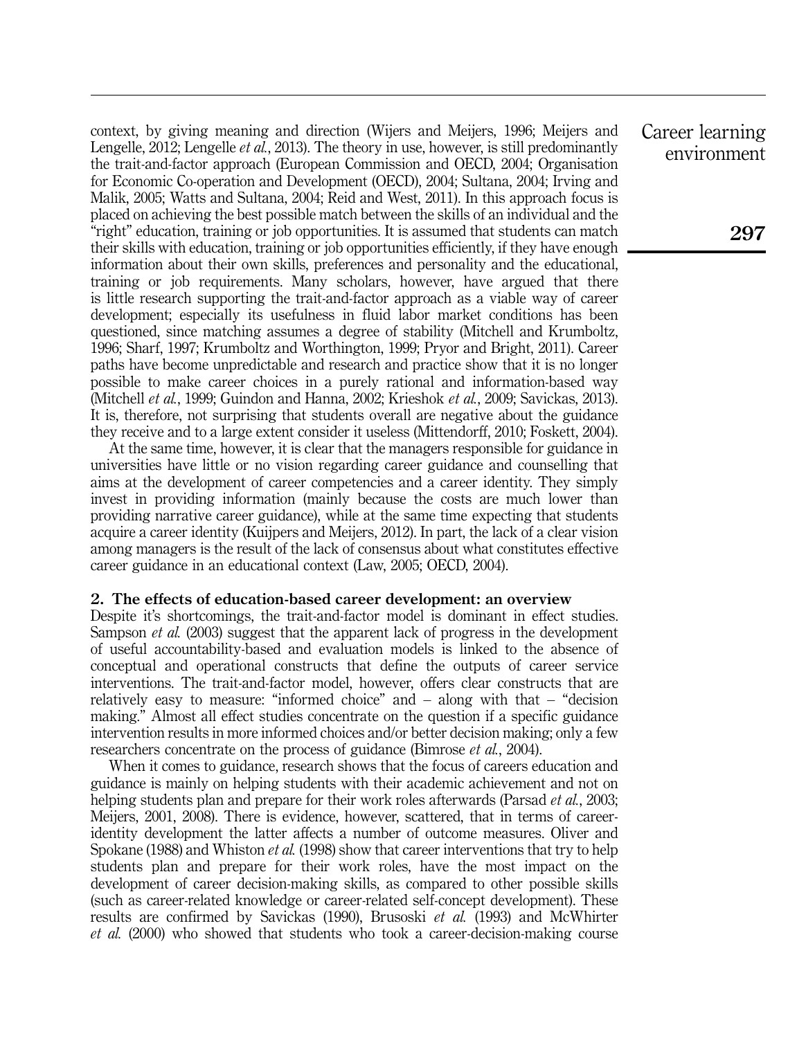context, by giving meaning and direction (Wijers and Meijers, 1996; Meijers and Lengelle, 2012; Lengelle *et al.*, 2013). The theory in use, however, is still predominantly the trait-and-factor approach (European Commission and OECD, 2004; Organisation for Economic Co-operation and Development (OECD), 2004; Sultana, 2004; Irving and Malik, 2005; Watts and Sultana, 2004; Reid and West, 2011). In this approach focus is placed on achieving the best possible match between the skills of an individual and the "right" education, training or job opportunities. It is assumed that students can match their skills with education, training or job opportunities efficiently, if they have enough information about their own skills, preferences and personality and the educational, training or job requirements. Many scholars, however, have argued that there is little research supporting the trait-and-factor approach as a viable way of career development; especially its usefulness in fluid labor market conditions has been questioned, since matching assumes a degree of stability (Mitchell and Krumboltz, 1996; Sharf, 1997; Krumboltz and Worthington, 1999; Pryor and Bright, 2011). Career paths have become unpredictable and research and practice show that it is no longer possible to make career choices in a purely rational and information-based way (Mitchell et al., 1999; Guindon and Hanna, 2002; Krieshok et al., 2009; Savickas, 2013). It is, therefore, not surprising that students overall are negative about the guidance they receive and to a large extent consider it useless (Mittendorff, 2010; Foskett, 2004).

At the same time, however, it is clear that the managers responsible for guidance in universities have little or no vision regarding career guidance and counselling that aims at the development of career competencies and a career identity. They simply invest in providing information (mainly because the costs are much lower than providing narrative career guidance), while at the same time expecting that students acquire a career identity (Kuijpers and Meijers, 2012). In part, the lack of a clear vision among managers is the result of the lack of consensus about what constitutes effective career guidance in an educational context (Law, 2005; OECD, 2004).

#### 2. The effects of education-based career development: an overview

Despite it's shortcomings, the trait-and-factor model is dominant in effect studies. Sampson et al. (2003) suggest that the apparent lack of progress in the development of useful accountability-based and evaluation models is linked to the absence of conceptual and operational constructs that define the outputs of career service interventions. The trait-and-factor model, however, offers clear constructs that are relatively easy to measure: "informed choice" and  $-$  along with that  $-$  "decision making." Almost all effect studies concentrate on the question if a specific guidance intervention results in more informed choices and/or better decision making; only a few researchers concentrate on the process of guidance (Bimrose *et al.*, 2004).

When it comes to guidance, research shows that the focus of careers education and guidance is mainly on helping students with their academic achievement and not on helping students plan and prepare for their work roles afterwards (Parsad *et al.*, 2003; Meijers, 2001, 2008). There is evidence, however, scattered, that in terms of careeridentity development the latter affects a number of outcome measures. Oliver and Spokane (1988) and Whiston *et al.* (1998) show that career interventions that try to help students plan and prepare for their work roles, have the most impact on the development of career decision-making skills, as compared to other possible skills (such as career-related knowledge or career-related self-concept development). These results are confirmed by Savickas (1990), Brusoski et al. (1993) and McWhirter et al. (2000) who showed that students who took a career-decision-making course

Career learning environment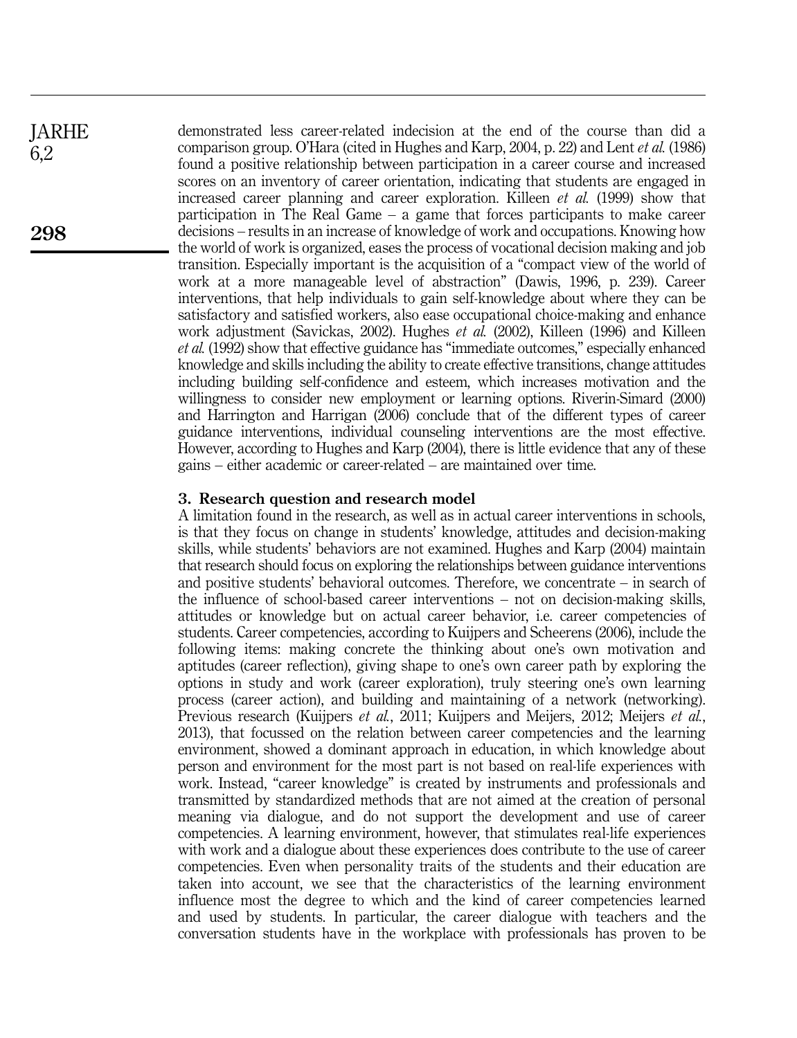demonstrated less career-related indecision at the end of the course than did a comparison group. O'Hara (cited in Hughes and Karp, 2004, p. 22) and Lent et al. (1986) found a positive relationship between participation in a career course and increased scores on an inventory of career orientation, indicating that students are engaged in increased career planning and career exploration. Killeen et al. (1999) show that participation in The Real Game – a game that forces participants to make career decisions – results in an increase of knowledge of work and occupations. Knowing how the world of work is organized, eases the process of vocational decision making and job transition. Especially important is the acquisition of a "compact view of the world of work at a more manageable level of abstraction" (Dawis, 1996, p. 239). Career interventions, that help individuals to gain self-knowledge about where they can be satisfactory and satisfied workers, also ease occupational choice-making and enhance work adjustment (Savickas, 2002). Hughes et al. (2002), Killeen (1996) and Killeen et al. (1992) show that effective guidance has "immediate outcomes," especially enhanced knowledge and skills including the ability to create effective transitions, change attitudes including building self-confidence and esteem, which increases motivation and the willingness to consider new employment or learning options. Riverin-Simard (2000) and Harrington and Harrigan (2006) conclude that of the different types of career guidance interventions, individual counseling interventions are the most effective. However, according to Hughes and Karp (2004), there is little evidence that any of these gains – either academic or career-related – are maintained over time.

## 3. Research question and research model

A limitation found in the research, as well as in actual career interventions in schools, is that they focus on change in students' knowledge, attitudes and decision-making skills, while students' behaviors are not examined. Hughes and Karp (2004) maintain that research should focus on exploring the relationships between guidance interventions and positive students' behavioral outcomes. Therefore, we concentrate – in search of the influence of school-based career interventions – not on decision-making skills, attitudes or knowledge but on actual career behavior, i.e. career competencies of students. Career competencies, according to Kuijpers and Scheerens (2006), include the following items: making concrete the thinking about one's own motivation and aptitudes (career reflection), giving shape to one's own career path by exploring the options in study and work (career exploration), truly steering one's own learning process (career action), and building and maintaining of a network (networking). Previous research (Kuijpers *et al.*, 2011; Kuijpers and Meijers, 2012; Meijers *et al.*, 2013), that focussed on the relation between career competencies and the learning environment, showed a dominant approach in education, in which knowledge about person and environment for the most part is not based on real-life experiences with work. Instead, "career knowledge" is created by instruments and professionals and transmitted by standardized methods that are not aimed at the creation of personal meaning via dialogue, and do not support the development and use of career competencies. A learning environment, however, that stimulates real-life experiences with work and a dialogue about these experiences does contribute to the use of career competencies. Even when personality traits of the students and their education are taken into account, we see that the characteristics of the learning environment influence most the degree to which and the kind of career competencies learned and used by students. In particular, the career dialogue with teachers and the conversation students have in the workplace with professionals has proven to be

298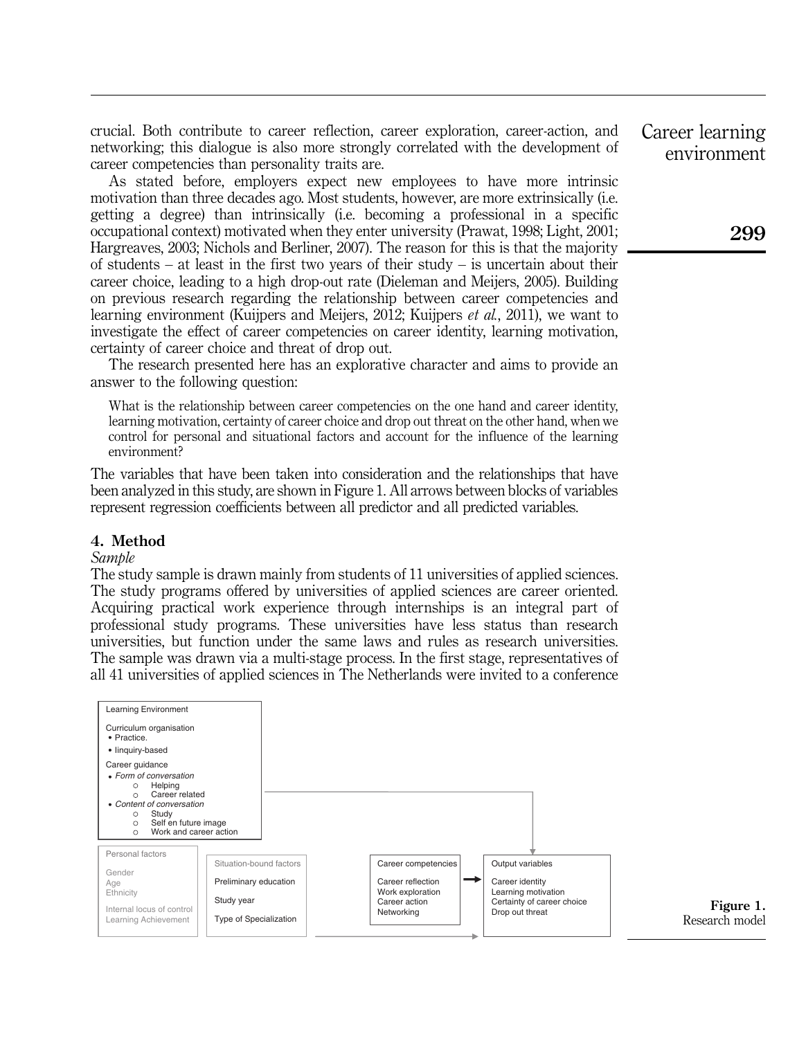crucial. Both contribute to career reflection, career exploration, career-action, and networking; this dialogue is also more strongly correlated with the development of career competencies than personality traits are.

As stated before, employers expect new employees to have more intrinsic motivation than three decades ago. Most students, however, are more extrinsically (i.e. getting a degree) than intrinsically (i.e. becoming a professional in a specific occupational context) motivated when they enter university (Prawat, 1998; Light, 2001; Hargreaves, 2003; Nichols and Berliner, 2007). The reason for this is that the majority of students – at least in the first two years of their study – is uncertain about their career choice, leading to a high drop-out rate (Dieleman and Meijers, 2005). Building on previous research regarding the relationship between career competencies and learning environment (Kuijpers and Meijers, 2012; Kuijpers et al., 2011), we want to investigate the effect of career competencies on career identity, learning motivation, certainty of career choice and threat of drop out.

The research presented here has an explorative character and aims to provide an answer to the following question:

What is the relationship between career competencies on the one hand and career identity, learning motivation, certainty of career choice and drop out threat on the other hand, when we control for personal and situational factors and account for the influence of the learning environment?

The variables that have been taken into consideration and the relationships that have been analyzed in this study, are shown in Figure 1. All arrows between blocks of variables represent regression coefficients between all predictor and all predicted variables.

## 4. Method

## Sample

The study sample is drawn mainly from students of 11 universities of applied sciences. The study programs offered by universities of applied sciences are career oriented. Acquiring practical work experience through internships is an integral part of professional study programs. These universities have less status than research universities, but function under the same laws and rules as research universities. The sample was drawn via a multi-stage process. In the first stage, representatives of all 41 universities of applied sciences in The Netherlands were invited to a conference



Career learning environment

299

Research model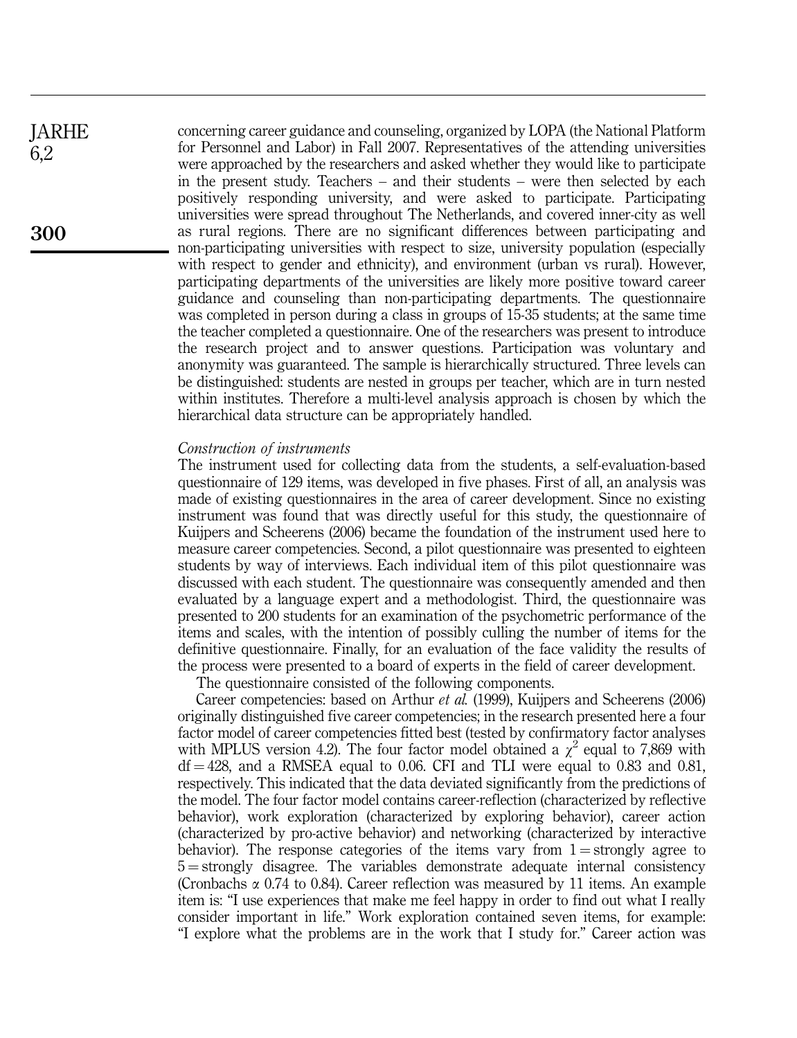concerning career guidance and counseling, organized by LOPA (the National Platform for Personnel and Labor) in Fall 2007. Representatives of the attending universities were approached by the researchers and asked whether they would like to participate in the present study. Teachers – and their students – were then selected by each positively responding university, and were asked to participate. Participating universities were spread throughout The Netherlands, and covered inner-city as well as rural regions. There are no significant differences between participating and non-participating universities with respect to size, university population (especially with respect to gender and ethnicity), and environment (urban vs rural). However, participating departments of the universities are likely more positive toward career guidance and counseling than non-participating departments. The questionnaire was completed in person during a class in groups of 15-35 students; at the same time the teacher completed a questionnaire. One of the researchers was present to introduce the research project and to answer questions. Participation was voluntary and anonymity was guaranteed. The sample is hierarchically structured. Three levels can be distinguished: students are nested in groups per teacher, which are in turn nested within institutes. Therefore a multi-level analysis approach is chosen by which the hierarchical data structure can be appropriately handled.

#### Construction of instruments

The instrument used for collecting data from the students, a self-evaluation-based questionnaire of 129 items, was developed in five phases. First of all, an analysis was made of existing questionnaires in the area of career development. Since no existing instrument was found that was directly useful for this study, the questionnaire of Kuijpers and Scheerens (2006) became the foundation of the instrument used here to measure career competencies. Second, a pilot questionnaire was presented to eighteen students by way of interviews. Each individual item of this pilot questionnaire was discussed with each student. The questionnaire was consequently amended and then evaluated by a language expert and a methodologist. Third, the questionnaire was presented to 200 students for an examination of the psychometric performance of the items and scales, with the intention of possibly culling the number of items for the definitive questionnaire. Finally, for an evaluation of the face validity the results of the process were presented to a board of experts in the field of career development.

The questionnaire consisted of the following components.

Career competencies: based on Arthur et al. (1999), Kuijpers and Scheerens (2006) originally distinguished five career competencies; in the research presented here a four factor model of career competencies fitted best (tested by confirmatory factor analyses with MPLUS version 4.2). The four factor model obtained a  $\chi^2$  equal to 7,869 with  $df = 428$ , and a RMSEA equal to 0.06. CFI and TLI were equal to 0.83 and 0.81, respectively. This indicated that the data deviated significantly from the predictions of the model. The four factor model contains career-reflection (characterized by reflective behavior), work exploration (characterized by exploring behavior), career action (characterized by pro-active behavior) and networking (characterized by interactive behavior). The response categories of the items vary from  $1 =$ strongly agree to  $5 =$ strongly disagree. The variables demonstrate adequate internal consistency (Cronbachs  $\alpha$  0.74 to 0.84). Career reflection was measured by 11 items. An example item is: "I use experiences that make me feel happy in order to find out what I really consider important in life." Work exploration contained seven items, for example: "I explore what the problems are in the work that I study for." Career action was

300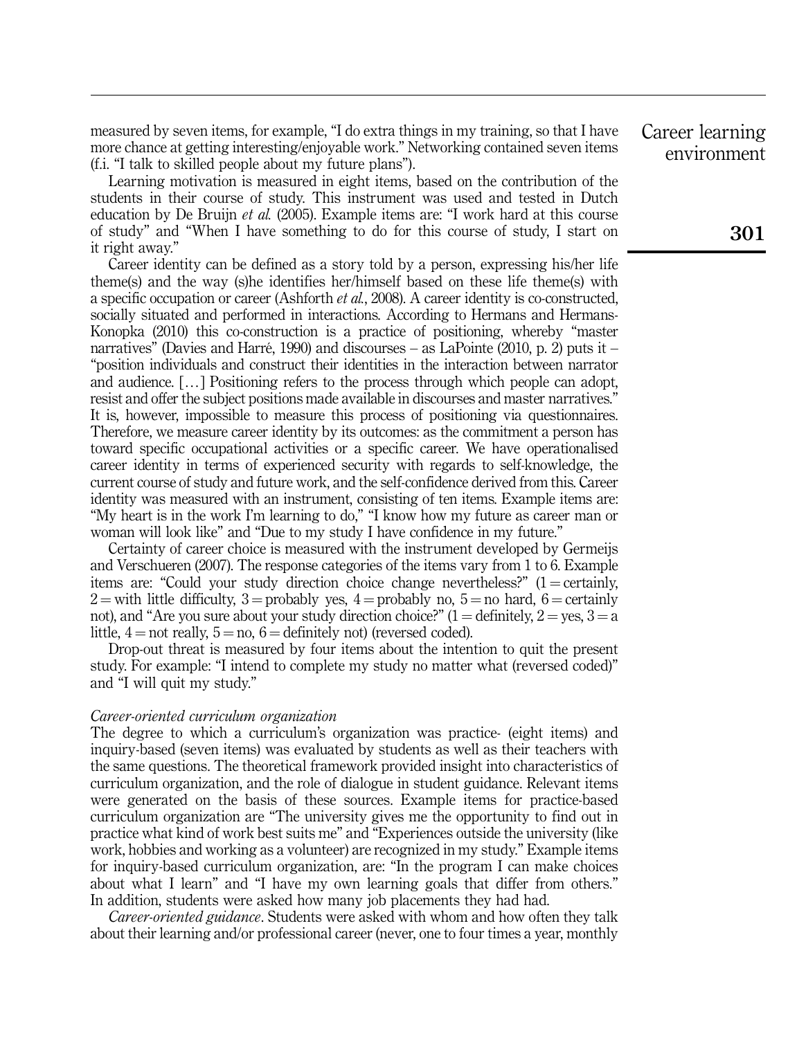measured by seven items, for example, "I do extra things in my training, so that I have more chance at getting interesting/enjoyable work." Networking contained seven items (f.i. "I talk to skilled people about my future plans").

Learning motivation is measured in eight items, based on the contribution of the students in their course of study. This instrument was used and tested in Dutch education by De Bruijn et al. (2005). Example items are: "I work hard at this course of study" and "When I have something to do for this course of study, I start on it right away."

Career identity can be defined as a story told by a person, expressing his/her life theme(s) and the way (s)he identifies her/himself based on these life theme(s) with a specific occupation or career (Ashforth et al., 2008). A career identity is co-constructed, socially situated and performed in interactions. According to Hermans and Hermans-Konopka (2010) this co-construction is a practice of positioning, whereby "master narratives" (Davies and Harré, 1990) and discourses – as LaPointe (2010, p. 2) puts it – "position individuals and construct their identities in the interaction between narrator and audience.  $[\,\ldots]$  Positioning refers to the process through which people can adopt, resist and offer the subject positions made available in discourses and master narratives." It is, however, impossible to measure this process of positioning via questionnaires. Therefore, we measure career identity by its outcomes: as the commitment a person has toward specific occupational activities or a specific career. We have operationalised career identity in terms of experienced security with regards to self-knowledge, the current course of study and future work, and the self-confidence derived from this. Career identity was measured with an instrument, consisting of ten items. Example items are: "My heart is in the work I'm learning to do," "I know how my future as career man or woman will look like" and "Due to my study I have confidence in my future."

Certainty of career choice is measured with the instrument developed by Germeijs and Verschueren (2007). The response categories of the items vary from 1 to 6. Example items are: "Could your study direction choice change nevertheless?" (1 = certainly,  $2 =$  with little difficulty,  $3 =$  probably yes,  $4 =$  probably no,  $5 =$  no hard,  $6 =$  certainly not), and "Are you sure about your study direction choice?"  $(1 =$  definitely,  $2 =$  yes,  $3 =$  a little,  $4 =$ not really,  $5 =$ no,  $6 =$ definitely not) (reversed coded).

Drop-out threat is measured by four items about the intention to quit the present study. For example: "I intend to complete my study no matter what (reversed coded)" and "I will quit my study."

## Career-oriented curriculum organization

The degree to which a curriculum's organization was practice- (eight items) and inquiry-based (seven items) was evaluated by students as well as their teachers with the same questions. The theoretical framework provided insight into characteristics of curriculum organization, and the role of dialogue in student guidance. Relevant items were generated on the basis of these sources. Example items for practice-based curriculum organization are "The university gives me the opportunity to find out in practice what kind of work best suits me" and "Experiences outside the university (like work, hobbies and working as a volunteer) are recognized in my study." Example items for inquiry-based curriculum organization, are: "In the program I can make choices about what I learn" and "I have my own learning goals that differ from others." In addition, students were asked how many job placements they had had.

Career-oriented guidance. Students were asked with whom and how often they talk about their learning and/or professional career (never, one to four times a year, monthly Career learning environment

301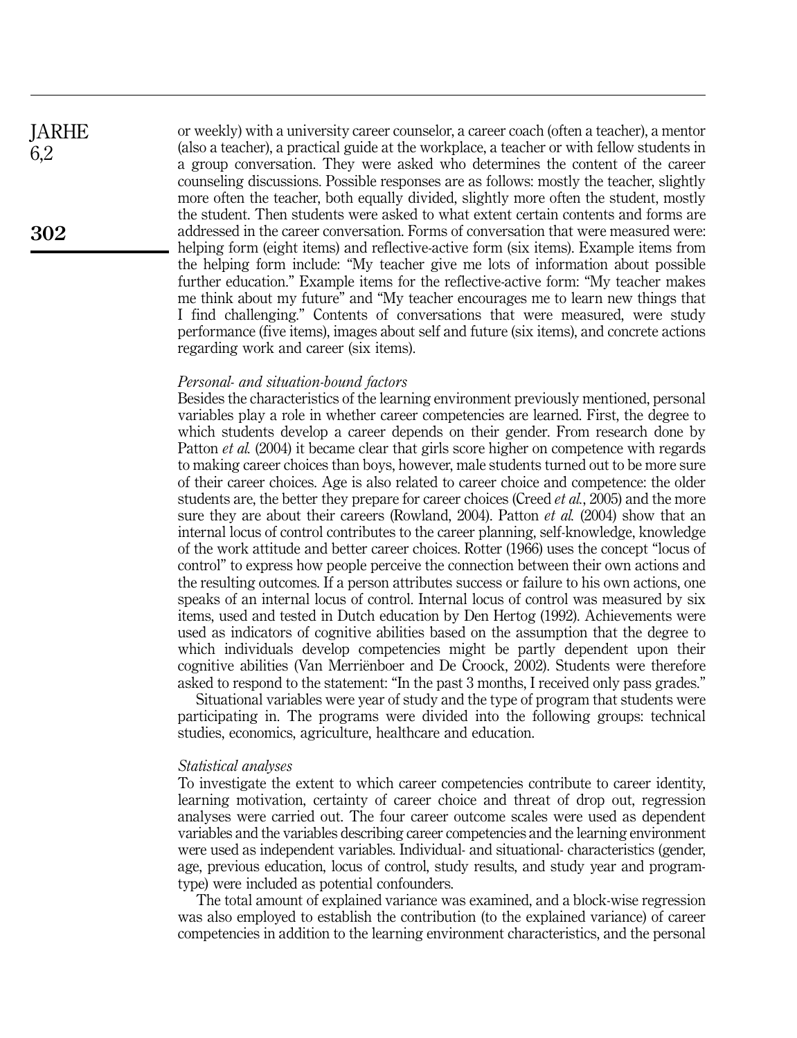or weekly) with a university career counselor, a career coach (often a teacher), a mentor (also a teacher), a practical guide at the workplace, a teacher or with fellow students in a group conversation. They were asked who determines the content of the career counseling discussions. Possible responses are as follows: mostly the teacher, slightly more often the teacher, both equally divided, slightly more often the student, mostly the student. Then students were asked to what extent certain contents and forms are addressed in the career conversation. Forms of conversation that were measured were: helping form (eight items) and reflective-active form (six items). Example items from the helping form include: "My teacher give me lots of information about possible further education." Example items for the reflective-active form: "My teacher makes me think about my future" and "My teacher encourages me to learn new things that I find challenging." Contents of conversations that were measured, were study performance (five items), images about self and future (six items), and concrete actions regarding work and career (six items).

## Personal- and situation-bound factors

Besides the characteristics of the learning environment previously mentioned, personal variables play a role in whether career competencies are learned. First, the degree to which students develop a career depends on their gender. From research done by Patton *et al.* (2004) it became clear that girls score higher on competence with regards to making career choices than boys, however, male students turned out to be more sure of their career choices. Age is also related to career choice and competence: the older students are, the better they prepare for career choices (Creed *et al.*, 2005) and the more sure they are about their careers (Rowland, 2004). Patton *et al.* (2004) show that an internal locus of control contributes to the career planning, self-knowledge, knowledge of the work attitude and better career choices. Rotter (1966) uses the concept "locus of control" to express how people perceive the connection between their own actions and the resulting outcomes. If a person attributes success or failure to his own actions, one speaks of an internal locus of control. Internal locus of control was measured by six items, used and tested in Dutch education by Den Hertog (1992). Achievements were used as indicators of cognitive abilities based on the assumption that the degree to which individuals develop competencies might be partly dependent upon their cognitive abilities (Van Merriënboer and De Croock, 2002). Students were therefore asked to respond to the statement: "In the past 3 months, I received only pass grades."

Situational variables were year of study and the type of program that students were participating in. The programs were divided into the following groups: technical studies, economics, agriculture, healthcare and education.

#### Statistical analyses

To investigate the extent to which career competencies contribute to career identity, learning motivation, certainty of career choice and threat of drop out, regression analyses were carried out. The four career outcome scales were used as dependent variables and the variables describing career competencies and the learning environment were used as independent variables. Individual- and situational- characteristics (gender, age, previous education, locus of control, study results, and study year and programtype) were included as potential confounders.

The total amount of explained variance was examined, and a block-wise regression was also employed to establish the contribution (to the explained variance) of career competencies in addition to the learning environment characteristics, and the personal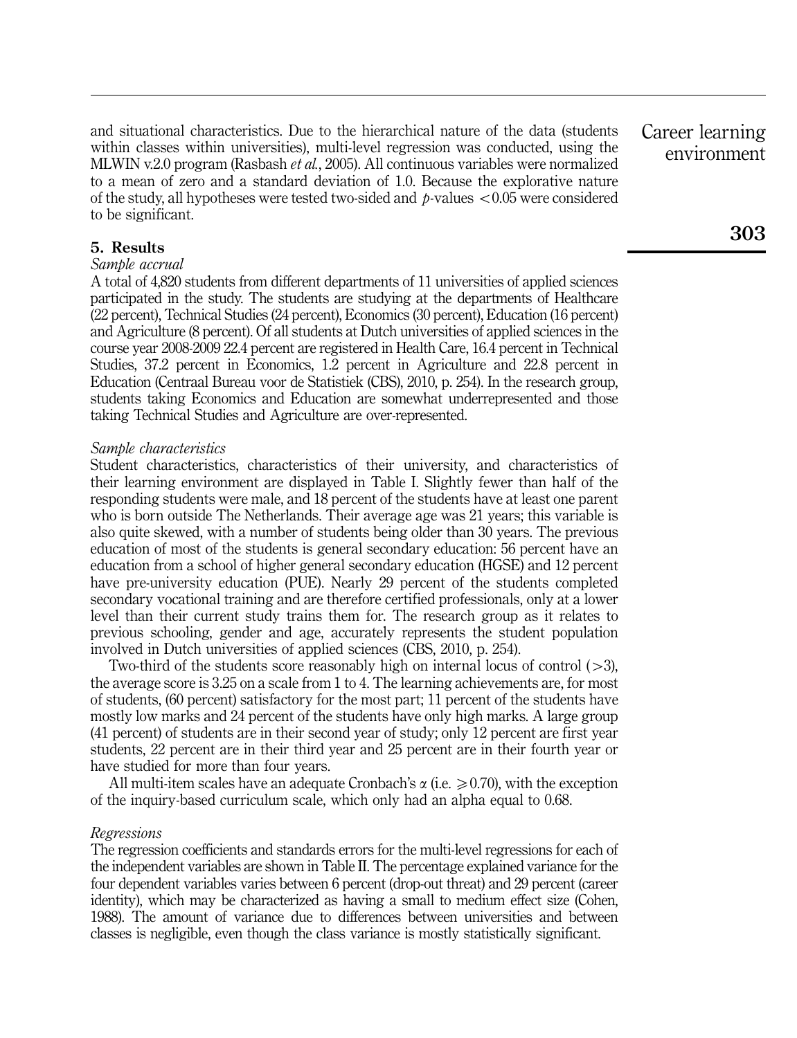and situational characteristics. Due to the hierarchical nature of the data (students within classes within universities), multi-level regression was conducted, using the MLWIN v.2.0 program (Rasbash et al., 2005). All continuous variables were normalized to a mean of zero and a standard deviation of 1.0. Because the explorative nature of the study, all hypotheses were tested two-sided and  $p$ -values  $< 0.05$  were considered to be significant.

## 5. Results

## Sample accrual

A total of 4,820 students from different departments of 11 universities of applied sciences participated in the study. The students are studying at the departments of Healthcare (22 percent), Technical Studies (24 percent), Economics (30 percent), Education (16 percent) and Agriculture (8 percent). Of all students at Dutch universities of applied sciences in the course year 2008-2009 22.4 percent are registered in Health Care, 16.4 percent in Technical Studies, 37.2 percent in Economics, 1.2 percent in Agriculture and 22.8 percent in Education (Centraal Bureau voor de Statistiek (CBS), 2010, p. 254). In the research group, students taking Economics and Education are somewhat underrepresented and those taking Technical Studies and Agriculture are over-represented.

## Sample characteristics

Student characteristics, characteristics of their university, and characteristics of their learning environment are displayed in Table I. Slightly fewer than half of the responding students were male, and 18 percent of the students have at least one parent who is born outside The Netherlands. Their average age was 21 years; this variable is also quite skewed, with a number of students being older than 30 years. The previous education of most of the students is general secondary education: 56 percent have an education from a school of higher general secondary education (HGSE) and 12 percent have pre-university education (PUE). Nearly 29 percent of the students completed secondary vocational training and are therefore certified professionals, only at a lower level than their current study trains them for. The research group as it relates to previous schooling, gender and age, accurately represents the student population involved in Dutch universities of applied sciences (CBS, 2010, p. 254).

Two-third of the students score reasonably high on internal locus of control  $(>3)$ , the average score is 3.25 on a scale from 1 to 4. The learning achievements are, for most of students, (60 percent) satisfactory for the most part; 11 percent of the students have mostly low marks and 24 percent of the students have only high marks. A large group (41 percent) of students are in their second year of study; only 12 percent are first year students, 22 percent are in their third year and 25 percent are in their fourth year or have studied for more than four years.

All multi-item scales have an adequate Cronbach's  $\alpha$  (i.e.  $\geq 0.70$ ), with the exception of the inquiry-based curriculum scale, which only had an alpha equal to 0.68.

#### Regressions

The regression coefficients and standards errors for the multi-level regressions for each of the independent variables are shown in Table II. The percentage explained variance for the four dependent variables varies between 6 percent (drop-out threat) and 29 percent (career identity), which may be characterized as having a small to medium effect size (Cohen, 1988). The amount of variance due to differences between universities and between classes is negligible, even though the class variance is mostly statistically significant.

Career learning environment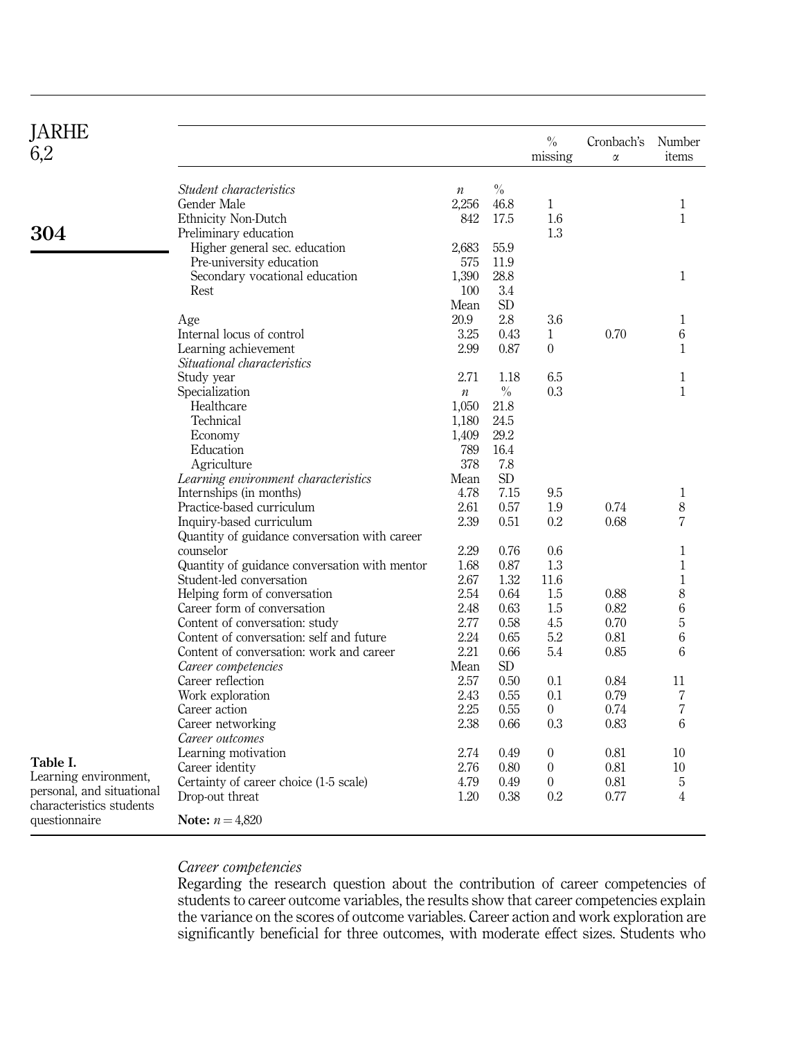| <b>JARHE</b><br>6,2                                   |                                               |                  |           | $\%$<br>missing | Cronbach's<br>$\alpha$ | Number<br>items |
|-------------------------------------------------------|-----------------------------------------------|------------------|-----------|-----------------|------------------------|-----------------|
|                                                       | Student characteristics                       | $\boldsymbol{n}$ | $\%$      |                 |                        |                 |
|                                                       | Gender Male                                   | 2,256            | 46.8      | $\mathbf{1}$    |                        | 1               |
|                                                       | Ethnicity Non-Dutch                           | 842              | 17.5      | 1.6             |                        | $\mathbf{1}$    |
| 304                                                   | Preliminary education                         |                  |           | 1.3             |                        |                 |
|                                                       | Higher general sec. education                 | 2,683            | 55.9      |                 |                        |                 |
|                                                       | Pre-university education                      | 575              | 11.9      |                 |                        |                 |
|                                                       | Secondary vocational education                | 1,390            | 28.8      |                 |                        | 1               |
|                                                       | Rest                                          | 100              | 3.4       |                 |                        |                 |
|                                                       |                                               | Mean             | <b>SD</b> |                 |                        |                 |
|                                                       | Age                                           | 20.9             | 2.8       | 3.6             |                        | 1               |
|                                                       | Internal locus of control                     | 3.25             | 0.43      | 1               | 0.70                   | 6               |
|                                                       | Learning achievement                          | 2.99             | 0.87      | $\Omega$        |                        | 1               |
|                                                       | Situational characteristics                   |                  |           |                 |                        |                 |
|                                                       | Study year                                    | 2.71             | 1.18      | 6.5             |                        | 1               |
|                                                       | Specialization                                | $\boldsymbol{n}$ | $\%$      | 0.3             |                        | 1               |
|                                                       | Healthcare                                    | 1,050            | 21.8      |                 |                        |                 |
|                                                       | Technical                                     | 1.180            | 24.5      |                 |                        |                 |
|                                                       | Economy                                       | 1,409            | 29.2      |                 |                        |                 |
|                                                       | Education                                     | 789              | 16.4      |                 |                        |                 |
|                                                       | Agriculture                                   | 378              | 7.8       |                 |                        |                 |
|                                                       | Learning environment characteristics          | Mean             | <b>SD</b> |                 |                        |                 |
|                                                       | Internships (in months)                       | 4.78             | 7.15      | 9.5             |                        | 1               |
|                                                       | Practice-based curriculum                     | 2.61             | 0.57      | 1.9             | 0.74                   | 8               |
|                                                       | Inquiry-based curriculum                      | 2.39             | 0.51      | 0.2             | 0.68                   | 7               |
|                                                       | Quantity of guidance conversation with career |                  |           |                 |                        |                 |
|                                                       | counselor                                     | 2.29             | 0.76      | 0.6             |                        | $\mathbf{1}$    |
|                                                       | Quantity of guidance conversation with mentor | 1.68             | 0.87      | 1.3             |                        | 1               |
|                                                       | Student-led conversation                      | 2.67             | 1.32      | 11.6            |                        | $\mathbf{1}$    |
|                                                       | Helping form of conversation                  | 2.54             | 0.64      | 1.5             | 0.88                   | 8               |
|                                                       | Career form of conversation                   | 2.48             | 0.63      | 1.5             | 0.82                   | $\,6$           |
|                                                       | Content of conversation: study                | 2.77             | 0.58      | 4.5             | 0.70                   | $\mathbf 5$     |
|                                                       | Content of conversation: self and future      | 2.24             | 0.65      | 5.2             | 0.81                   | $\,6$           |
|                                                       | Content of conversation: work and career      | 2.21             | 0.66      | 5.4             | 0.85                   | 6               |
|                                                       | Career competencies                           | Mean             | SD        |                 |                        |                 |
|                                                       | Career reflection                             | 2.57             | 0.50      | 0.1             | 0.84                   | 11              |
|                                                       | Work exploration                              | 2.43             | 0.55      | 0.1             | 0.79                   | 7               |
|                                                       | Career action                                 | 2.25             | 0.55      | $\overline{0}$  | 0.74                   | 7               |
|                                                       | Career networking                             | 2.38             | 0.66      | 0.3             | 0.83                   | 6               |
|                                                       | Career outcomes                               |                  |           |                 |                        |                 |
|                                                       | Learning motivation                           | 2.74             | 0.49      | $\overline{0}$  | 0.81                   | 10              |
| Table I.                                              | Career identity                               | 2.76             | 0.80      | $\overline{0}$  | 0.81                   | 10              |
| Learning environment,                                 | Certainty of career choice (1-5 scale)        | 4.79             | 0.49      | $\overline{0}$  | 0.81                   | 5               |
| personal, and situational<br>characteristics students | Drop-out threat                               | 1.20             | 0.38      | 0.2             | 0.77                   | $\overline{4}$  |
| questionnaire                                         | <b>Note:</b> $n = 4,820$                      |                  |           |                 |                        |                 |

## Career competencies

Regarding the research question about the contribution of career competencies of students to career outcome variables, the results show that career competencies explain the variance on the scores of outcome variables. Career action and work exploration are significantly beneficial for three outcomes, with moderate effect sizes. Students who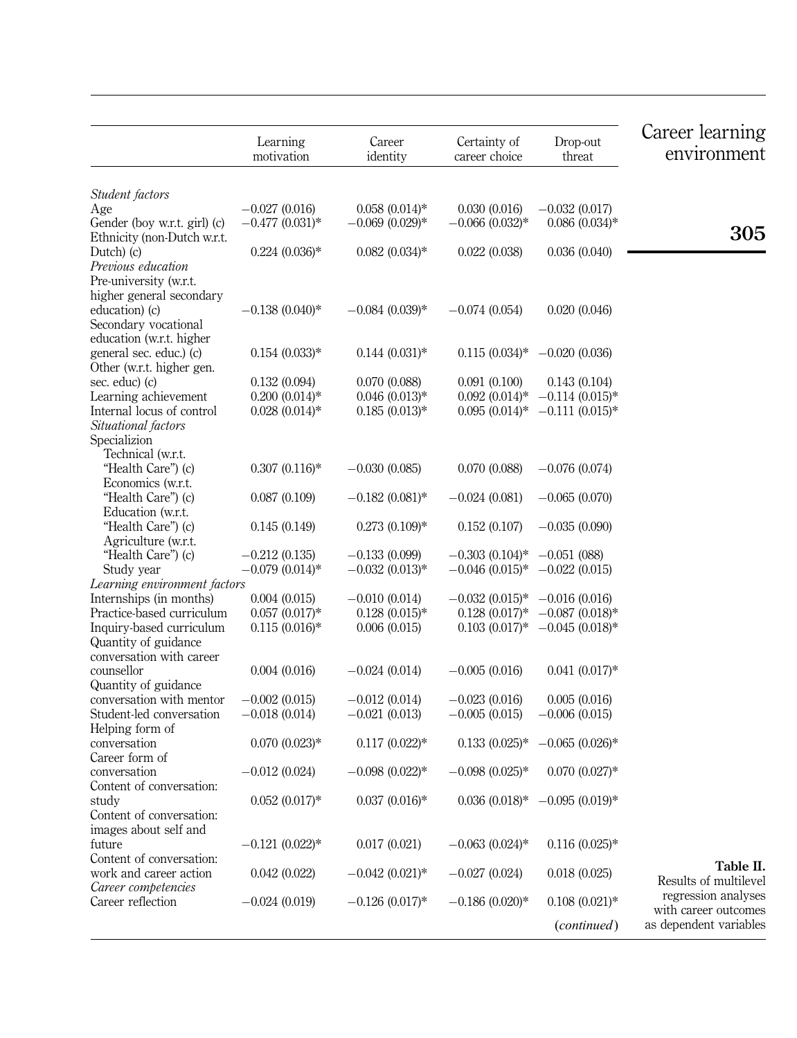|                                         | Learning<br>motivation | Career<br>identity | Certainty of<br>career choice   | Drop-out<br>threat                   | Career learning<br>environment |
|-----------------------------------------|------------------------|--------------------|---------------------------------|--------------------------------------|--------------------------------|
| Student factors                         |                        |                    |                                 |                                      |                                |
| Age                                     | $-0.027(0.016)$        | $0.058(0.014)*$    | 0.030(0.016)                    | $-0.032(0.017)$                      |                                |
| Gender (boy w.r.t. girl) (c)            | $-0.477(0.031)*$       | $-0.069(0.029)*$   | $-0.066$ $(0.032)*$             | $0.086~(0.034)*$                     |                                |
| Ethnicity (non-Dutch w.r.t.             |                        |                    |                                 |                                      | 305                            |
| Dutch $)$ (c)                           | $0.224$ $(0.036)*$     | $0.082$ $(0.034)*$ | 0.022(0.038)                    | 0.036(0.040)                         |                                |
| Previous education                      |                        |                    |                                 |                                      |                                |
| Pre-university (w.r.t.                  |                        |                    |                                 |                                      |                                |
| higher general secondary                |                        |                    |                                 |                                      |                                |
| education) (c)                          | $-0.138(0.040)*$       | $-0.084(0.039)*$   | $-0.074(0.054)$                 | 0.020(0.046)                         |                                |
| Secondary vocational                    |                        |                    |                                 |                                      |                                |
| education (w.r.t. higher                |                        |                    |                                 |                                      |                                |
| general sec. educ.) (c)                 | $0.154(0.033)*$        | $0.144(0.031)*$    | $0.115(0.034)*$                 | $-0.020(0.036)$                      |                                |
| Other (w.r.t. higher gen.               |                        |                    |                                 |                                      |                                |
| sec. educ) (c)                          | 0.132(0.094)           | 0.070(0.088)       | 0.091(0.100)                    | 0.143(0.104)                         |                                |
| Learning achievement                    | $0.200(0.014)*$        | $0.046(0.013)*$    | $0.092(0.014)*$                 | $-0.114(0.015)*$                     |                                |
| Internal locus of control               | $0.028(0.014)*$        | $0.185(0.013)*$    |                                 | $0.095(0.014)* -0.111(0.015)*$       |                                |
| Situational factors                     |                        |                    |                                 |                                      |                                |
| Specializion                            |                        |                    |                                 |                                      |                                |
| Technical (w.r.t.                       |                        |                    |                                 |                                      |                                |
| "Health Care") (c)                      | $0.307(0.116)*$        | $-0.030(0.085)$    | 0.070(0.088)                    | $-0.076(0.074)$                      |                                |
|                                         |                        |                    |                                 |                                      |                                |
| Economics (w.r.t.<br>"Health Care") (c) |                        |                    |                                 |                                      |                                |
|                                         | 0.087(0.109)           | $-0.182(0.081)$ *  | $-0.024(0.081)$                 | $-0.065(0.070)$                      |                                |
| Education (w.r.t.                       |                        |                    |                                 |                                      |                                |
| "Health Care") (c)                      | 0.145(0.149)           | $0.273(0.109)*$    | 0.152(0.107)                    | $-0.035(0.090)$                      |                                |
| Agriculture (w.r.t.                     |                        |                    |                                 |                                      |                                |
| "Health Care") (c)                      | $-0.212(0.135)$        | $-0.133(0.099)$    | $-0.303(0.104)$ *               | $-0.051(088)$                        |                                |
| Study year                              | $-0.079(0.014)*$       | $-0.032(0.013)*$   | $-0.046(0.015)* -0.022(0.015)$  |                                      |                                |
| Learning environment factors            |                        |                    |                                 |                                      |                                |
| Internships (in months)                 | 0.004(0.015)           | $-0.010(0.014)$    | $-0.032(0.015)^* -0.016(0.016)$ |                                      |                                |
| Practice-based curriculum               | $0.057(0.017)*$        | $0.128(0.015)*$    |                                 | $0.128(0.017)^* -0.087(0.018)^*$     |                                |
| Inquiry-based curriculum                | $0.115(0.016)*$        | 0.006(0.015)       |                                 | $0.103~(0.017)^*$ -0.045 $(0.018)^*$ |                                |
| Quantity of guidance                    |                        |                    |                                 |                                      |                                |
| conversation with career                |                        |                    |                                 |                                      |                                |
| counsellor                              | 0.004(0.016)           | $-0.024(0.014)$    | $-0.005(0.016)$                 | $0.041~(0.017)*$                     |                                |
| Quantity of guidance                    |                        |                    |                                 |                                      |                                |
| conversation with mentor                | $-0.002(0.015)$        | $-0.012(0.014)$    | $-0.023(0.016)$                 | 0.005(0.016)                         |                                |
| Student-led conversation                | $-0.018(0.014)$        | $-0.021(0.013)$    | $-0.005(0.015)$                 | $-0.006(0.015)$                      |                                |
| Helping form of                         |                        |                    |                                 |                                      |                                |
| conversation                            | $0.070(0.023)*$        | $0.117(0.022)*$    | $0.133(0.025)*$                 | $-0.065(0.026)$ *                    |                                |
| Career form of                          |                        |                    |                                 |                                      |                                |
| conversation                            | $-0.012(0.024)$        | $-0.098(0.022)*$   | $-0.098(0.025)$ *               | $0.070~(0.027)*$                     |                                |
| Content of conversation:                |                        |                    |                                 |                                      |                                |
| study                                   | $0.052(0.017)$ *       | $0.037(0.016)*$    |                                 | $0.036(0.018)* -0.095(0.019)*$       |                                |
| Content of conversation:                |                        |                    |                                 |                                      |                                |
| images about self and                   |                        |                    |                                 |                                      |                                |
| future                                  | $-0.121(0.022)$ *      | 0.017(0.021)       | $-0.063(0.024)$ *               | $0.116(0.025)*$                      |                                |
| Content of conversation:                |                        |                    |                                 |                                      | Table II.                      |
| work and career action                  | 0.042(0.022)           | $-0.042(0.021)$ *  | $-0.027(0.024)$                 | 0.018(0.025)                         | Results of multilevel          |
| Career competencies                     |                        |                    |                                 |                                      | regression analyses            |
| Career reflection                       | $-0.024(0.019)$        | $-0.126(0.017)$ *  | $-0.186(0.020)*$                | $0.108(0.021)*$                      | with career outcomes           |
|                                         |                        |                    |                                 | (continued)                          | as dependent variables         |
|                                         |                        |                    |                                 |                                      |                                |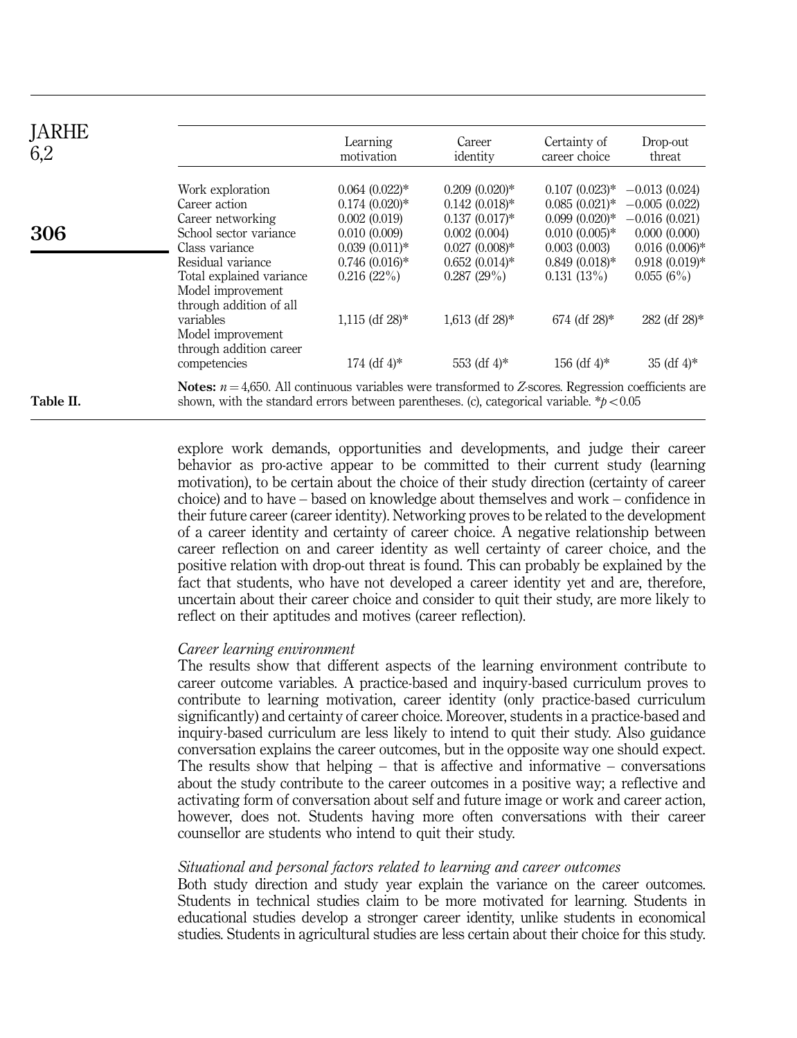| <b>JARHE</b><br>6,2 |                                                                                                                                                                                                                       | Learning<br>motivation | Career<br>identity | Certainty of<br>career choice | Drop-out<br>threat |
|---------------------|-----------------------------------------------------------------------------------------------------------------------------------------------------------------------------------------------------------------------|------------------------|--------------------|-------------------------------|--------------------|
|                     | Work exploration                                                                                                                                                                                                      | $0.064(0.022)*$        | $0.209(0.020)*$    | $0.107(0.023)*$               | $-0.013(0.024)$    |
|                     | Career action                                                                                                                                                                                                         | $0.174~(0.020)*$       | $0.142(0.018)*$    | $0.085(0.021)*$               | $-0.005(0.022)$    |
|                     | Career networking                                                                                                                                                                                                     | 0.002(0.019)           | $0.137(0.017)^*$   | $0.099(0.020)*$               | $-0.016(0.021)$    |
| 306                 | School sector variance                                                                                                                                                                                                | 0.010(0.009)           | 0.002(0.004)       | $0.010(0.005)*$               | 0.000(0.000)       |
|                     | Class variance                                                                                                                                                                                                        | $0.039(0.011)*$        | $0.027(0.008)*$    | 0.003(0.003)                  | $0.016(0.006)*$    |
|                     | Residual variance                                                                                                                                                                                                     | $0.746(0.016)*$        | $0.652(0.014)*$    | $0.849(0.018)*$               | $0.918(0.019)*$    |
|                     | Total explained variance                                                                                                                                                                                              | 0.216(22%)             | 0.287(29%)         | 0.131(13%)                    | 0.055(6%)          |
|                     | Model improvement                                                                                                                                                                                                     |                        |                    |                               |                    |
|                     | through addition of all<br>variables                                                                                                                                                                                  | $1,115$ (df $28$ )*    | 1,613 (df $28$ )*  | 674 (df $28$ )*               | 282 (df 28)*       |
|                     | Model improvement                                                                                                                                                                                                     |                        |                    |                               |                    |
|                     | through addition career                                                                                                                                                                                               |                        |                    |                               |                    |
|                     | competencies                                                                                                                                                                                                          | 174 (df $4$ )*         | 553 (df $4$ )*     | 156 (df $4$ )*                | 35 (df $4$ )*      |
| Table II.           | <b>Notes:</b> $n = 4,650$ . All continuous variables were transformed to Z-scores. Regression coefficients are<br>shown, with the standard errors between parentheses. (c), categorical variable. $*$ <i>p</i> < 0.05 |                        |                    |                               |                    |

explore work demands, opportunities and developments, and judge their career behavior as pro-active appear to be committed to their current study (learning motivation), to be certain about the choice of their study direction (certainty of career choice) and to have – based on knowledge about themselves and work – confidence in their future career (career identity). Networking proves to be related to the development of a career identity and certainty of career choice. A negative relationship between career reflection on and career identity as well certainty of career choice, and the positive relation with drop-out threat is found. This can probably be explained by the fact that students, who have not developed a career identity yet and are, therefore, uncertain about their career choice and consider to quit their study, are more likely to reflect on their aptitudes and motives (career reflection).

## Career learning environment

The results show that different aspects of the learning environment contribute to career outcome variables. A practice-based and inquiry-based curriculum proves to contribute to learning motivation, career identity (only practice-based curriculum significantly) and certainty of career choice. Moreover, students in a practice-based and inquiry-based curriculum are less likely to intend to quit their study. Also guidance conversation explains the career outcomes, but in the opposite way one should expect. The results show that helping  $-$  that is affective and informative  $-$  conversations about the study contribute to the career outcomes in a positive way; a reflective and activating form of conversation about self and future image or work and career action, however, does not. Students having more often conversations with their career counsellor are students who intend to quit their study.

## Situational and personal factors related to learning and career outcomes

Both study direction and study year explain the variance on the career outcomes. Students in technical studies claim to be more motivated for learning. Students in educational studies develop a stronger career identity, unlike students in economical studies. Students in agricultural studies are less certain about their choice for this study.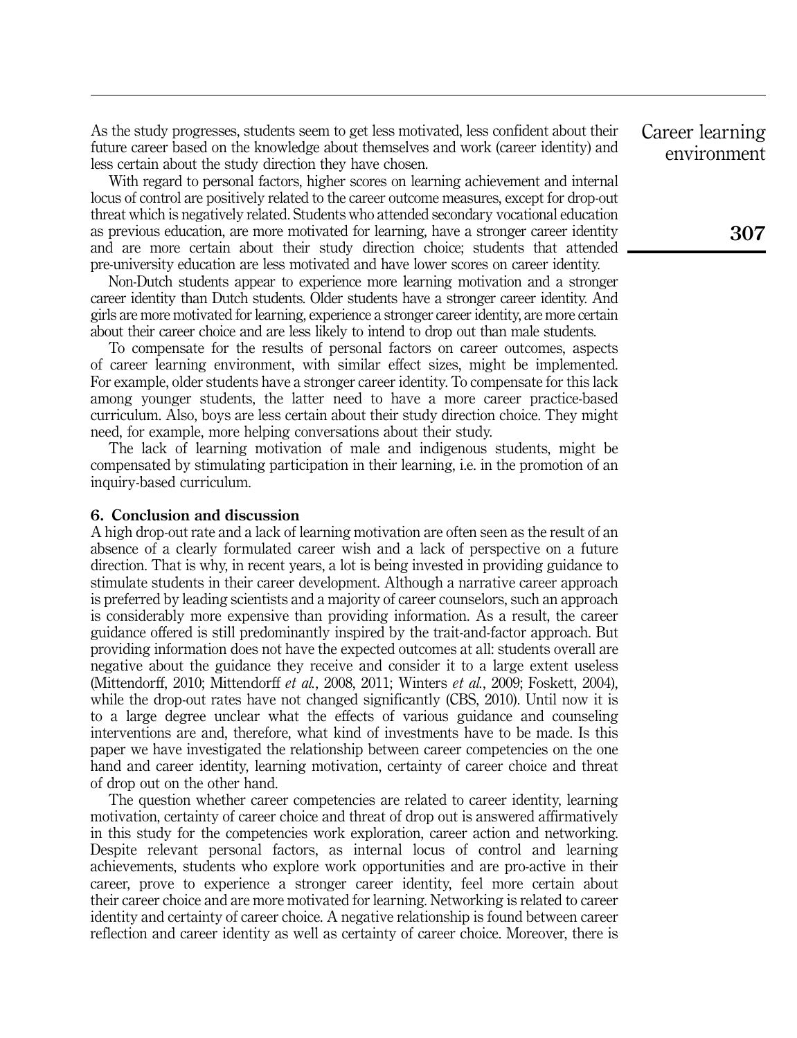As the study progresses, students seem to get less motivated, less confident about their future career based on the knowledge about themselves and work (career identity) and less certain about the study direction they have chosen.

With regard to personal factors, higher scores on learning achievement and internal locus of control are positively related to the career outcome measures, except for drop-out threat which is negatively related. Students who attended secondary vocational education as previous education, are more motivated for learning, have a stronger career identity and are more certain about their study direction choice; students that attended pre-university education are less motivated and have lower scores on career identity.

Non-Dutch students appear to experience more learning motivation and a stronger career identity than Dutch students. Older students have a stronger career identity. And girls are more motivated for learning, experience a stronger career identity, are more certain about their career choice and are less likely to intend to drop out than male students.

To compensate for the results of personal factors on career outcomes, aspects of career learning environment, with similar effect sizes, might be implemented. For example, older students have a stronger career identity. To compensate for this lack among younger students, the latter need to have a more career practice-based curriculum. Also, boys are less certain about their study direction choice. They might need, for example, more helping conversations about their study.

The lack of learning motivation of male and indigenous students, might be compensated by stimulating participation in their learning, i.e. in the promotion of an inquiry-based curriculum.

## 6. Conclusion and discussion

A high drop-out rate and a lack of learning motivation are often seen as the result of an absence of a clearly formulated career wish and a lack of perspective on a future direction. That is why, in recent years, a lot is being invested in providing guidance to stimulate students in their career development. Although a narrative career approach is preferred by leading scientists and a majority of career counselors, such an approach is considerably more expensive than providing information. As a result, the career guidance offered is still predominantly inspired by the trait-and-factor approach. But providing information does not have the expected outcomes at all: students overall are negative about the guidance they receive and consider it to a large extent useless (Mittendorff, 2010; Mittendorff et al., 2008, 2011; Winters et al., 2009; Foskett, 2004), while the drop-out rates have not changed significantly (CBS, 2010). Until now it is to a large degree unclear what the effects of various guidance and counseling interventions are and, therefore, what kind of investments have to be made. Is this paper we have investigated the relationship between career competencies on the one hand and career identity, learning motivation, certainty of career choice and threat of drop out on the other hand.

The question whether career competencies are related to career identity, learning motivation, certainty of career choice and threat of drop out is answered affirmatively in this study for the competencies work exploration, career action and networking. Despite relevant personal factors, as internal locus of control and learning achievements, students who explore work opportunities and are pro-active in their career, prove to experience a stronger career identity, feel more certain about their career choice and are more motivated for learning. Networking is related to career identity and certainty of career choice. A negative relationship is found between career reflection and career identity as well as certainty of career choice. Moreover, there is Career learning environment

307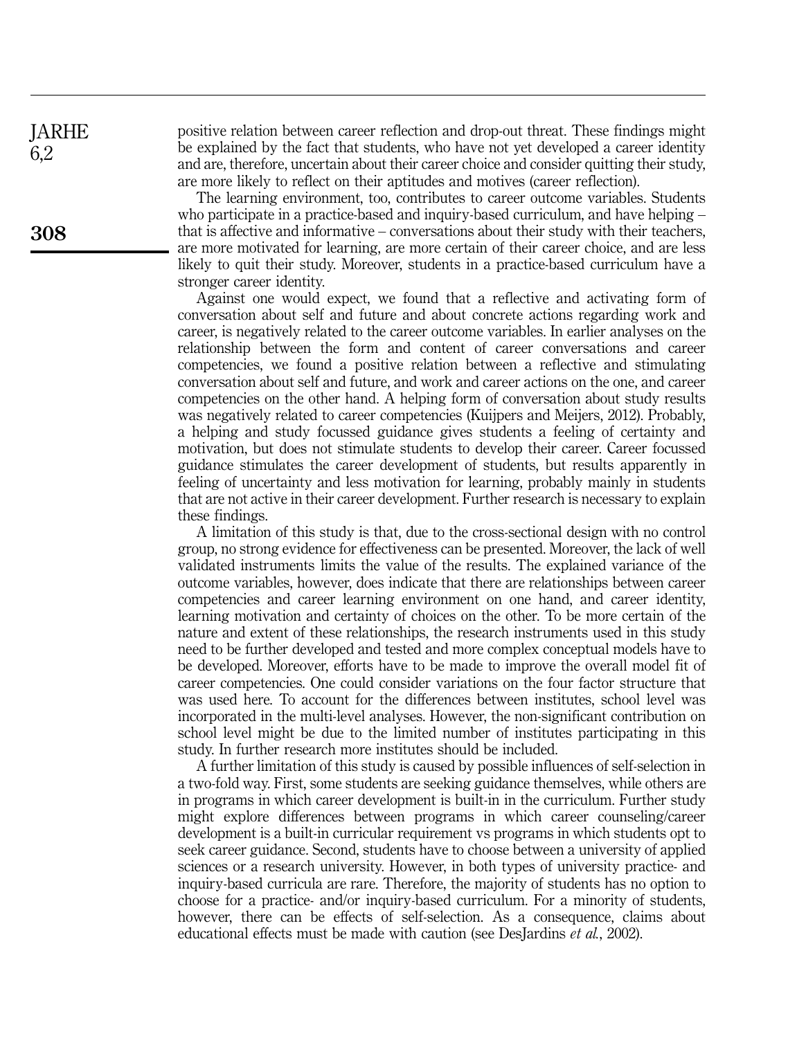positive relation between career reflection and drop-out threat. These findings might be explained by the fact that students, who have not yet developed a career identity and are, therefore, uncertain about their career choice and consider quitting their study, are more likely to reflect on their aptitudes and motives (career reflection).

The learning environment, too, contributes to career outcome variables. Students who participate in a practice-based and inquiry-based curriculum, and have helping – that is affective and informative – conversations about their study with their teachers, are more motivated for learning, are more certain of their career choice, and are less likely to quit their study. Moreover, students in a practice-based curriculum have a stronger career identity.

Against one would expect, we found that a reflective and activating form of conversation about self and future and about concrete actions regarding work and career, is negatively related to the career outcome variables. In earlier analyses on the relationship between the form and content of career conversations and career competencies, we found a positive relation between a reflective and stimulating conversation about self and future, and work and career actions on the one, and career competencies on the other hand. A helping form of conversation about study results was negatively related to career competencies (Kuijpers and Meijers, 2012). Probably, a helping and study focussed guidance gives students a feeling of certainty and motivation, but does not stimulate students to develop their career. Career focussed guidance stimulates the career development of students, but results apparently in feeling of uncertainty and less motivation for learning, probably mainly in students that are not active in their career development. Further research is necessary to explain these findings.

A limitation of this study is that, due to the cross-sectional design with no control group, no strong evidence for effectiveness can be presented. Moreover, the lack of well validated instruments limits the value of the results. The explained variance of the outcome variables, however, does indicate that there are relationships between career competencies and career learning environment on one hand, and career identity, learning motivation and certainty of choices on the other. To be more certain of the nature and extent of these relationships, the research instruments used in this study need to be further developed and tested and more complex conceptual models have to be developed. Moreover, efforts have to be made to improve the overall model fit of career competencies. One could consider variations on the four factor structure that was used here. To account for the differences between institutes, school level was incorporated in the multi-level analyses. However, the non-significant contribution on school level might be due to the limited number of institutes participating in this study. In further research more institutes should be included.

A further limitation of this study is caused by possible influences of self-selection in a two-fold way. First, some students are seeking guidance themselves, while others are in programs in which career development is built-in in the curriculum. Further study might explore differences between programs in which career counseling/career development is a built-in curricular requirement vs programs in which students opt to seek career guidance. Second, students have to choose between a university of applied sciences or a research university. However, in both types of university practice- and inquiry-based curricula are rare. Therefore, the majority of students has no option to choose for a practice- and/or inquiry-based curriculum. For a minority of students, however, there can be effects of self-selection. As a consequence, claims about educational effects must be made with caution (see DesJardins et al., 2002).

308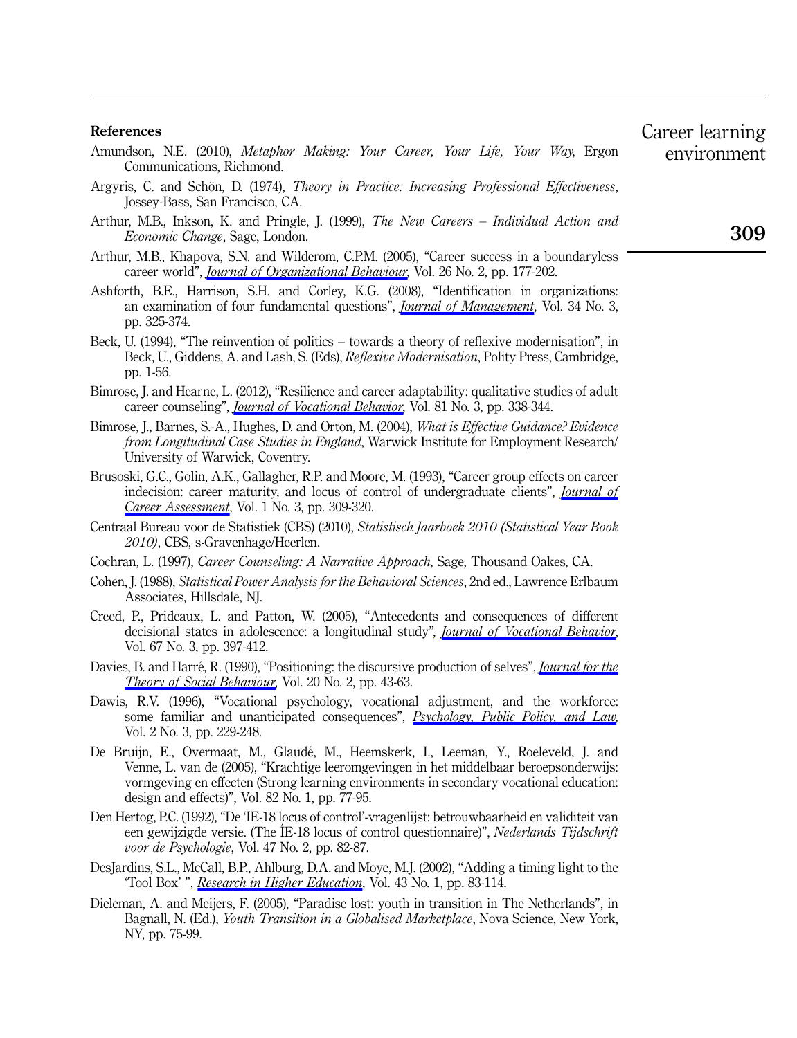#### References

- Amundson, N.E. (2010), Metaphor Making: Your Career, Your Life, Your Way, Ergon Communications, Richmond.
- Argyris, C. and Schön, D. (1974), Theory in Practice: Increasing Professional Effectiveness, Jossey-Bass, San Francisco, CA.
- Arthur, M.B., Inkson, K. and Pringle, J. (1999), The New Careers Individual Action and Economic Change, Sage, London.
- Arthur, M.B., Khapova, S.N. and Wilderom, C.P.M. (2005), "Career success in a boundaryless career world", *[Journal of Organizational Behaviour](http://emerald-prod.literatumonline.com/action/showLinks?crossref=10.1002%2Fjob.290&isi=000227340900005)*, Vol. 26 No. 2, pp. 177-202.
- Ashforth, B.E., Harrison, S.H. and Corley, K.G. (2008), "Identification in organizations: an examination of four fundamental questions", [Journal of Management](http://emerald-prod.literatumonline.com/action/showLinks?crossref=10.1177%2F0149206308316059&isi=000255691500001), Vol. 34 No. 3, pp. 325-374.
- Beck, U. (1994), "The reinvention of politics towards a theory of reflexive modernisation", in Beck, U., Giddens, A. and Lash, S. (Eds), *Reflexive Modernisation*, Polity Press, Cambridge, pp. 1-56.
- Bimrose, J. and Hearne, L. (2012), "Resilience and career adaptability: qualitative studies of adult career counseling", *[Journal of Vocational Behavior](http://emerald-prod.literatumonline.com/action/showLinks?crossref=10.1016%2Fj.jvb.2012.08.002&isi=000312474800004)*, Vol. 81 No. 3, pp. 338-344.
- Bimrose, J., Barnes, S.-A., Hughes, D. and Orton, M. (2004), What is Effective Guidance? Evidence from Longitudinal Case Studies in England, Warwick Institute for Employment Research/ University of Warwick, Coventry.
- Brusoski, G.C., Golin, A.K., Gallagher, R.P. and Moore, M. (1993), "Career group effects on career indecision: career maturity, and locus of control of undergraduate clients", *[Journal of](http://emerald-prod.literatumonline.com/action/showLinks?crossref=10.1177%2F106907279300100308)* [Career Assessment](http://emerald-prod.literatumonline.com/action/showLinks?crossref=10.1177%2F106907279300100308), Vol. 1 No. 3, pp. 309-320.
- Centraal Bureau voor de Statistiek (CBS) (2010), Statistisch Jaarboek 2010 (Statistical Year Book 2010), CBS, s-Gravenhage/Heerlen.
- Cochran, L. (1997), Career Counseling: A Narrative Approach, Sage, Thousand Oakes, CA.
- Cohen, J. (1988), Statistical Power Analysis for the Behavioral Sciences, 2nd ed., Lawrence Erlbaum Associates, Hillsdale, NJ.
- Creed, P., Prideaux, L. and Patton, W. (2005), "Antecedents and consequences of different decisional states in adolescence: a longitudinal study", *[Journal of Vocational Behavior](http://emerald-prod.literatumonline.com/action/showLinks?crossref=10.1016%2Fj.jvb.2004.08.008&isi=000233783100004)*, Vol. 67 No. 3, pp. 397-412.
- Davies, B. and Harré, R. (1990), "Positioning: the discursive production of selves", *[Journal for the](http://emerald-prod.literatumonline.com/action/showLinks?crossref=10.1111%2Fj.1468-5914.1990.tb00174.x&isi=A1990DA17500003)* [Theory of Social Behaviour](http://emerald-prod.literatumonline.com/action/showLinks?crossref=10.1111%2Fj.1468-5914.1990.tb00174.x&isi=A1990DA17500003), Vol. 20 No. 2, pp. 43-63.
- Dawis, R.V. (1996), "Vocational psychology, vocational adjustment, and the workforce: some familiar and unanticipated consequences", *Psychology*, *Public Policy*, and Law, Vol. 2 No. 3, pp. 229-248.
- De Bruijn, E., Overmaat, M., Glaudé, M., Heemskerk, I., Leeman, Y., Roeleveld, J. and Venne, L. van de (2005), "Krachtige leeromgevingen in het middelbaar beroepsonderwijs: vormgeving en effecten (Strong learning environments in secondary vocational education: design and effects)", Vol. 82 No. 1, pp. 77-95.
- Den Hertog, P.C. (1992), "De 'IE-18 locus of control'-vragenlijst: betrouwbaarheid en validiteit van een gewijzigde versie. (The IE-18 locus of control questionnaire)", Nederlands Tijdschrift voor de Psychologie, Vol. 47 No. 2, pp. 82-87.
- DesJardins, S.L., McCall, B.P., Ahlburg, D.A. and Moye, M.J. (2002), "Adding a timing light to the 'Tool Box' ", [Research in Higher Education](http://emerald-prod.literatumonline.com/action/showLinks?crossref=10.1023%2FA%3A1013022201296&isi=000179601400004), Vol. 43 No. 1, pp. 83-114.
- Dieleman, A. and Meijers, F. (2005), "Paradise lost: youth in transition in The Netherlands", in Bagnall, N. (Ed.), *Youth Transition in a Globalised Marketplace*, Nova Science, New York, NY, pp. 75-99.

environment

Career learning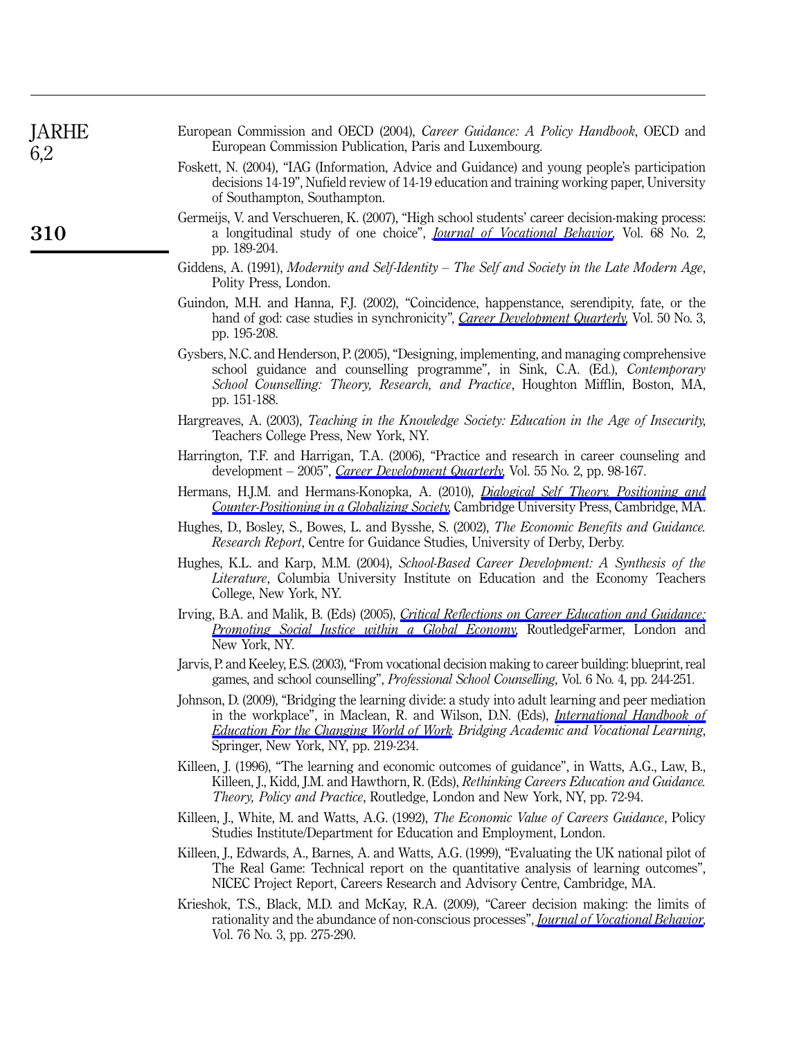| <b>JARHE</b><br>6,2 | European Commission and OECD (2004), Career Guidance: A Policy Handbook, OECD and<br>European Commission Publication, Paris and Luxembourg.                                                                                                                                                                                     |
|---------------------|---------------------------------------------------------------------------------------------------------------------------------------------------------------------------------------------------------------------------------------------------------------------------------------------------------------------------------|
|                     | Foskett, N. (2004), "IAG (Information, Advice and Guidance) and young people's participation<br>decisions 14-19", Nufield review of 14-19 education and training working paper, University<br>of Southampton, Southampton.                                                                                                      |
| 310                 | Germeijs, V. and Verschueren, K. (2007), "High school students' career decision-making process:<br>a longitudinal study of one choice", <i>Journal of Vocational Behavior</i> , Vol. 68 No. 2,<br>pp. 189-204.                                                                                                                  |
|                     | Giddens, A. (1991), Modernity and Self-Identity - The Self and Society in the Late Modern Age,<br>Polity Press, London.                                                                                                                                                                                                         |
|                     | Guindon, M.H. and Hanna, F.J. (2002), "Coincidence, happenstance, serendipity, fate, or the<br>hand of god: case studies in synchronicity", Career Development Quarterly, Vol. 50 No. 3,<br>pp. 195-208.                                                                                                                        |
|                     | Gysbers, N.C. and Henderson, P. (2005), "Designing, implementing, and managing comprehensive<br>school guidance and counselling programme", in Sink, C.A. (Ed.), Contemporary<br>School Counselling: Theory, Research, and Practice, Houghton Mifflin, Boston, MA,<br>pp. 151-188.                                              |
|                     | Hargreaves, A. (2003), Teaching in the Knowledge Society: Education in the Age of Insecurity,<br>Teachers College Press, New York, NY.                                                                                                                                                                                          |
|                     | Harrington, T.F. and Harrigan, T.A. (2006), "Practice and research in career counseling and<br>development - 2005", Career Development Quarterly, Vol. 55 No. 2, pp. 98-167.                                                                                                                                                    |
|                     | Hermans, H.J.M. and Hermans-Konopka, A. (2010), <i>Dialogical Self Theory. Positioning and</i><br>Counter-Positioning in a Globalizing Society, Cambridge University Press, Cambridge, MA.                                                                                                                                      |
|                     | Hughes, D., Bosley, S., Bowes, L. and Bysshe, S. (2002), The Economic Benefits and Guidance.<br>Research Report, Centre for Guidance Studies, University of Derby, Derby.                                                                                                                                                       |
|                     | Hughes, K.L. and Karp, M.M. (2004), School-Based Career Development: A Synthesis of the<br>Literature, Columbia University Institute on Education and the Economy Teachers<br>College, New York, NY.                                                                                                                            |
|                     | Irving, B.A. and Malik, B. (Eds) (2005), <i>Critical Reflections on Career Education and Guidance</i> :<br>Promoting Social Justice within a Global Economy, RoutledgeFarmer, London and<br>New York, NY.                                                                                                                       |
|                     | Jarvis, P. and Keeley, E.S. (2003), "From vocational decision making to career building: blueprint, real<br>games, and school counselling", <i>Professional School Counselling</i> , Vol. 6 No. 4, pp. 244-251.                                                                                                                 |
|                     | Johnson, D. (2009), "Bridging the learning divide: a study into adult learning and peer mediation<br>in the workplace", in Maclean, R. and Wilson, D.N. (Eds), <i>International Handbook of</i><br>Education For the Changing World of Work. Bridging Academic and Vocational Learning,<br>Springer, New York, NY, pp. 219-234. |
|                     | Killeen, J. (1996), "The learning and economic outcomes of guidance", in Watts, A.G., Law, B.,<br>Killeen, J., Kidd, J.M. and Hawthorn, R. (Eds), Rethinking Careers Education and Guidance.<br><i>Theory, Policy and Practice, Routledge, London and New York, NY, pp. 72-94.</i>                                              |
|                     | Killeen, J., White, M. and Watts, A.G. (1992), The Economic Value of Careers Guidance, Policy<br>Studies Institute/Department for Education and Employment, London.                                                                                                                                                             |
|                     | Killeen, J., Edwards, A., Barnes, A. and Watts, A.G. (1999), "Evaluating the UK national pilot of<br>The Real Game: Technical report on the quantitative analysis of learning outcomes",<br>NICEC Project Report, Careers Research and Advisory Centre, Cambridge, MA.                                                          |
|                     | Krieshok, T.S., Black, M.D. and McKay, R.A. (2009), "Career decision making: the limits of<br>rationality and the abundance of non-conscious processes", <i>Journal of Vocational Behavior</i> ,<br>Vol. 76 No. 3, pp. 275-290.                                                                                                 |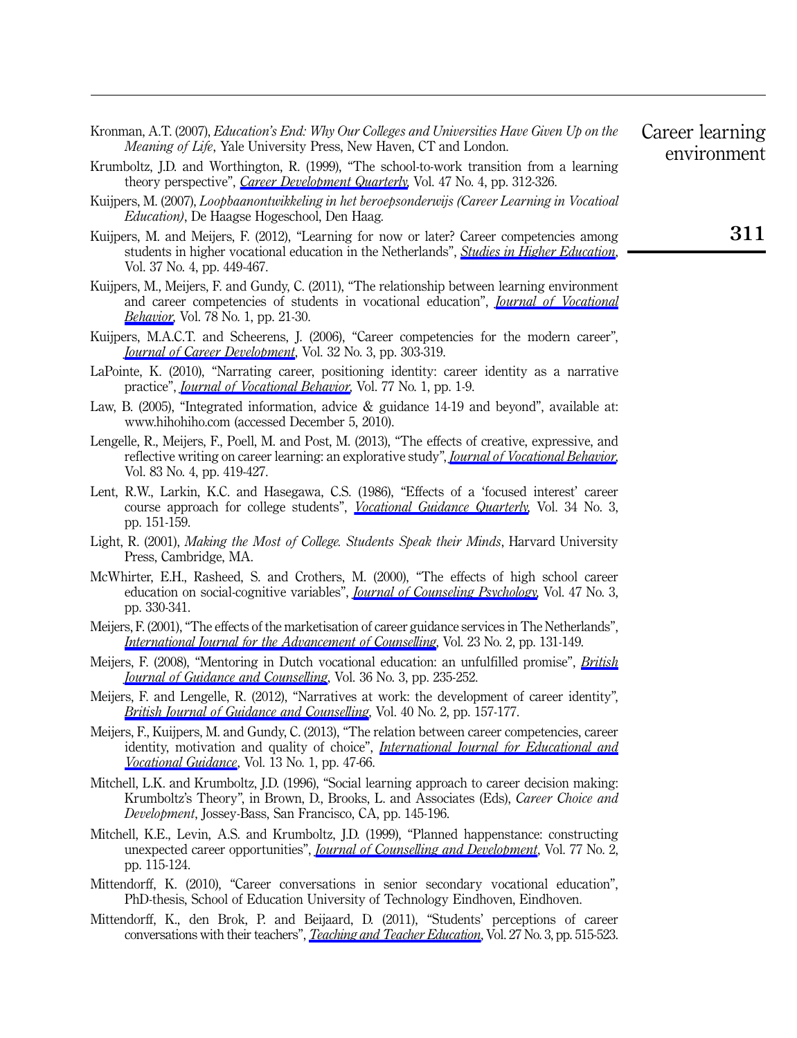| Kronman, A.T. (2007), Education's End: Why Our Colleges and Universities Have Given Up on the | Career learning |
|-----------------------------------------------------------------------------------------------|-----------------|
| <i>Meaning of Life</i> , Yale University Press, New Haven, CT and London.                     | environment     |

- Krumboltz, J.D. and Worthington, R. (1999), "The school-to-work transition from a learning theory perspective", *[Career Development Quarterly](http://emerald-prod.literatumonline.com/action/showLinks?crossref=10.1002%2Fj.2161-0045.1999.tb00740.x&isi=000081141400003)*, Vol. 47 No. 4, pp. 312-326.
- Kuijpers, M. (2007), Loopbaanontwikkeling in het beroepsonderwijs (Career Learning in Vocatioal Education), De Haagse Hogeschool, Den Haag.
- Kuijpers, M. and Meijers, F. (2012), "Learning for now or later? Career competencies among students in higher vocational education in the Netherlands", [Studies in Higher Education](http://emerald-prod.literatumonline.com/action/showLinks?crossref=10.1080%2F03075079.2010.523144&isi=000304041400006), Vol. 37 No. 4, pp. 449-467.
- Kuijpers, M., Meijers, F. and Gundy, C. (2011), "The relationship between learning environment and career competencies of students in vocational education", *[Journal of Vocational](http://emerald-prod.literatumonline.com/action/showLinks?crossref=10.1016%2Fj.jvb.2010.05.005&isi=000286168300003)* [Behavior](http://emerald-prod.literatumonline.com/action/showLinks?crossref=10.1016%2Fj.jvb.2010.05.005&isi=000286168300003), Vol. 78 No. 1, pp. 21-30.
- Kuijpers, M.A.C.T. and Scheerens, J. (2006), "Career competencies for the modern career", [Journal of Career Development](http://emerald-prod.literatumonline.com/action/showLinks?crossref=10.1177%2F0894845305283006&isi=000240604800001), Vol. 32 No. 3, pp. 303-319.
- LaPointe, K. (2010), "Narrating career, positioning identity: career identity as a narrative practice", [Journal of Vocational Behavior](http://emerald-prod.literatumonline.com/action/showLinks?crossref=10.1016%2Fj.jvb.2010.04.003&isi=000279267200001), Vol. 77 No. 1, pp. 1-9.
- Law, B. (2005), "Integrated information, advice & guidance 14-19 and beyond", available at: www.hihohiho.com (accessed December 5, 2010).
- Lengelle, R., Meijers, F., Poell, M. and Post, M. (2013), "The effects of creative, expressive, and reflective writing on career learning: an explorative study", *[Journal of Vocational Behavior](http://emerald-prod.literatumonline.com/action/showLinks?crossref=10.1016%2Fj.jvb.2013.06.014&isi=000327226900021)*, Vol. 83 No. 4, pp. 419-427.
- Lent, R.W., Larkin, K.C. and Hasegawa, C.S. (1986), "Effects of a 'focused interest' career course approach for college students", *[Vocational Guidance Quarterly](http://emerald-prod.literatumonline.com/action/showLinks?crossref=10.1002%2Fj.2164-585X.1986.tb01117.x)*, Vol. 34 No. 3, pp. 151-159.
- Light, R. (2001), Making the Most of College. Students Speak their Minds, Harvard University Press, Cambridge, MA.
- McWhirter, E.H., Rasheed, S. and Crothers, M. (2000), "The effects of high school career education on social-cognitive variables", *[Journal of Counseling Psychology](http://emerald-prod.literatumonline.com/action/showLinks?crossref=10.1037%2F0022-0167.47.3.330&isi=000088342300004)*, Vol. 47 No. 3, pp. 330-341.
- Meijers, F. (2001), "The effects of the marketisation of career guidance services in The Netherlands", [International Journal for the Advancement of Counselling](http://emerald-prod.literatumonline.com/action/showLinks?crossref=10.1023%2FA%3A1010671606971), Vol. 23 No. 2, pp. 131-149.
- Meijers, F. (2008), "Mentoring in Dutch vocational education: an unfulfilled promise", *[British](http://emerald-prod.literatumonline.com/action/showLinks?crossref=10.1080%2F03069880802090008&isi=000257469200002)* [Journal of Guidance and Counselling](http://emerald-prod.literatumonline.com/action/showLinks?crossref=10.1080%2F03069880802090008&isi=000257469200002), Vol. 36 No. 3, pp. 235-252.
- Meijers, F. and Lengelle, R. (2012), "Narratives at work: the development of career identity", [British Journal of Guidance and Counselling](http://emerald-prod.literatumonline.com/action/showLinks?crossref=10.1080%2F03069885.2012.665159&isi=000304328100004), Vol. 40 No. 2, pp. 157-177.
- Meijers, F., Kuijpers, M. and Gundy, C. (2013), "The relation between career competencies, career identity, motivation and quality of choice", *[International Journal for Educational and](http://emerald-prod.literatumonline.com/action/showLinks?crossref=10.1007%2Fs10775-012-9237-4)* [Vocational Guidance](http://emerald-prod.literatumonline.com/action/showLinks?crossref=10.1007%2Fs10775-012-9237-4), Vol. 13 No. 1, pp. 47-66.
- Mitchell, L.K. and Krumboltz, J.D. (1996), "Social learning approach to career decision making: Krumboltz's Theory", in Brown, D., Brooks, L. and Associates (Eds), Career Choice and Development, Jossey-Bass, San Francisco, CA, pp. 145-196.
- Mitchell, K.E., Levin, A.S. and Krumboltz, J.D. (1999), "Planned happenstance: constructing unexpected career opportunities", *[Journal of Counselling and Development](http://emerald-prod.literatumonline.com/action/showLinks?crossref=10.1002%2Fj.1556-6676.1999.tb02431.x)*, Vol. 77 No. 2, pp. 115-124.
- Mittendorff, K. (2010), "Career conversations in senior secondary vocational education", PhD-thesis, School of Education University of Technology Eindhoven, Eindhoven.
- Mittendorff, K., den Brok, P. and Beijaard, D. (2011), "Students' perceptions of career conversations with their teachers", *[Teaching and Teacher Education](http://emerald-prod.literatumonline.com/action/showLinks?crossref=10.1016%2Fj.tate.2010.10.005&isi=000287904100003)*, Vol. 27 No. 3, pp. 515-523.

# 311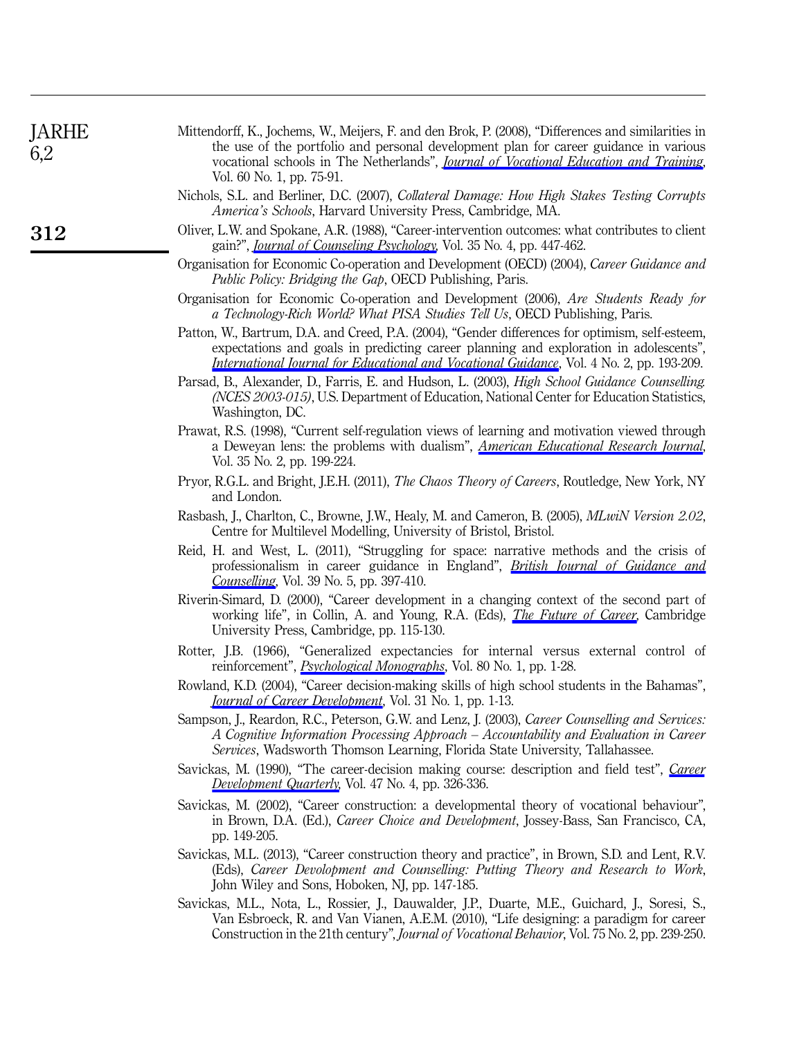| <b>JARHE</b><br>6,2 | Mittendorff, K., Jochems, W., Meijers, F. and den Brok, P. (2008), "Differences and similarities in<br>the use of the portfolio and personal development plan for career guidance in various<br>vocational schools in The Netherlands", <i>Journal of Vocational Education and Training</i> ,<br>Vol. 60 No. 1, pp. 75-91. |  |  |  |
|---------------------|----------------------------------------------------------------------------------------------------------------------------------------------------------------------------------------------------------------------------------------------------------------------------------------------------------------------------|--|--|--|
|                     | Nichols, S.L. and Berliner, D.C. (2007), <i>Collateral Damage: How High Stakes Testing Corrupts</i><br>America's Schools, Harvard University Press, Cambridge, MA.                                                                                                                                                         |  |  |  |
| 312                 | Oliver, L.W. and Spokane, A.R. (1988), "Career-intervention outcomes: what contributes to client<br>gain?", Journal of Counseling Psychology, Vol. 35 No. 4, pp. 447-462.                                                                                                                                                  |  |  |  |
|                     | Organisation for Economic Co-operation and Development (OECD) (2004), Career Guidance and<br>Public Policy: Bridging the Gap, OECD Publishing, Paris.                                                                                                                                                                      |  |  |  |
|                     | Organisation for Economic Co-operation and Development (2006), Are Students Ready for<br>a Technology-Rich World? What PISA Studies Tell Us, OECD Publishing, Paris.                                                                                                                                                       |  |  |  |
|                     | Patton, W., Bartrum, D.A. and Creed, P.A. (2004), "Gender differences for optimism, self-esteem,<br>expectations and goals in predicting career planning and exploration in adolescents",<br><i>International Journal for Educational and Vocational Guidance</i> , Vol. 4 No. 2, pp. 193-209.                             |  |  |  |
|                     | Parsad, B., Alexander, D., Farris, E. and Hudson, L. (2003), <i>High School Guidance Counselling</i> .<br>(NCES 2003-015), U.S. Department of Education, National Center for Education Statistics,<br>Washington, DC.                                                                                                      |  |  |  |
|                     | Prawat, R.S. (1998), "Current self-regulation views of learning and motivation viewed through<br>a Deweyan lens: the problems with dualism", American Educational Research Journal,<br>Vol. 35 No. 2, pp. 199-224.                                                                                                         |  |  |  |
|                     | Pryor, R.G.L. and Bright, J.E.H. (2011), The Chaos Theory of Careers, Routledge, New York, NY<br>and London.                                                                                                                                                                                                               |  |  |  |
|                     | Rasbash, J., Charlton, C., Browne, J.W., Healy, M. and Cameron, B. (2005), MLwiN Version 2.02,<br>Centre for Multilevel Modelling, University of Bristol, Bristol.                                                                                                                                                         |  |  |  |
|                     | Reid, H. and West, L. (2011), "Struggling for space: narrative methods and the crisis of<br>professionalism in career guidance in England", <i>British Journal of Guidance and</i><br>Counselling, Vol. 39 No. 5, pp. 397-410.                                                                                             |  |  |  |
|                     | Riverin-Simard, D. (2000), "Career development in a changing context of the second part of<br>working life", in Collin, A. and Young, R.A. (Eds), <i>The Future of Career</i> , Cambridge<br>University Press, Cambridge, pp. 115-130.                                                                                     |  |  |  |
|                     | Rotter, J.B. (1966), "Generalized expectancies for internal versus external control of<br>reinforcement", <i>Psychological Monographs</i> , Vol. 80 No. 1, pp. 1-28.                                                                                                                                                       |  |  |  |
|                     | Rowland, K.D. (2004), "Career decision-making skills of high school students in the Bahamas",<br><i><u>Journal of Career Development</u></i> , Vol. 31 No. 1, pp. 1-13.                                                                                                                                                    |  |  |  |
|                     | Sampson, J., Reardon, R.C., Peterson, G.W. and Lenz, J. (2003), Career Counselling and Services:<br>A Cognitive Information Processing Approach – Accountability and Evaluation in Career<br>Services, Wadsworth Thomson Learning, Florida State University, Tallahassee.                                                  |  |  |  |
|                     | Savickas, M. (1990), "The career-decision making course: description and field test", <i>Career</i><br><b>Development Quarterly, Vol. 47 No. 4, pp. 326-336.</b>                                                                                                                                                           |  |  |  |
|                     | Savickas, M. (2002), "Career construction: a developmental theory of vocational behaviour",<br>in Brown, D.A. (Ed.), Career Choice and Development, Jossey-Bass, San Francisco, CA,<br>pp. 149-205.                                                                                                                        |  |  |  |
|                     | Savickas, M.L. (2013), "Career construction theory and practice", in Brown, S.D. and Lent, R.V.<br>(Eds), Career Devolopment and Counselling: Putting Theory and Research to Work,<br>John Wiley and Sons, Hoboken, NJ, pp. 147-185.                                                                                       |  |  |  |
|                     | Savickas, M.L., Nota, L., Rossier, J., Dauwalder, J.P., Duarte, M.E., Guichard, J., Soresi, S.,<br>Van Esbroeck, R. and Van Vianen, A.E.M. (2010), "Life designing: a paradigm for career<br>Construction in the 21th century", <i>Journal of Vocational Behavior</i> , Vol. 75 No. 2, pp. 239-250.                        |  |  |  |